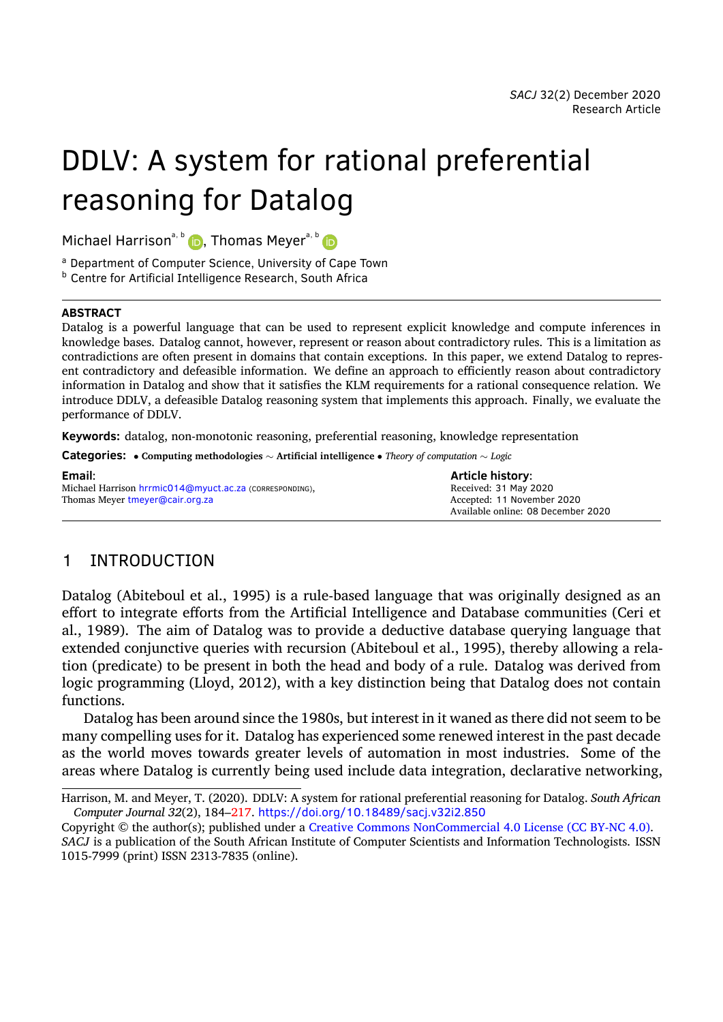# DDLV: A system for rational preferential reasoning for Datalog

Michael Harrison<sup>a, b</sup>  $\bullet$ , Thomas Meyer<sup>a, b</sup>  $\bullet$ 

<sup>a</sup> Department of Computer Science, University of Cape Town

**b** Centre for Artificial Intelligence Research, South Africa

#### **ABSTRACT**

Datalog is a powerful language that can be used to represent explicit knowledge and compute inferences in knowledge bases. Datalog cannot, however, represent or reason about contradictory rules. This is a limitation as contradictions are often present in domains that contain exceptions. In this paper, we extend Datalog to represent contradictory and defeasible information. We define an approach to efficiently reason about contradictory information in Datalog and show that it satisfies the KLM requirements for a rational consequence relation. We introduce DDLV, a defeasible Datalog reasoning system that implements this approach. Finally, we evaluate the performance of DDLV.

**Keywords:** datalog, non-monotonic reasoning, preferential reasoning, knowledge representation

**Categories:** *•* **Computing methodologies** *<sup>∼</sup>* **Artificial intelligence** *• Theory of computation <sup>∼</sup> Logic*

| Email:                                                  | <b>Article history:</b>            |
|---------------------------------------------------------|------------------------------------|
| Michael Harrison hrrmic014@myuct.ac.za (CORRESPONDING), | Received: 31 May 2020              |
| Thomas Meyer tmeyer@cair.org.za                         | Accepted: 11 November 2020         |
|                                                         | Available online: 08 December 2020 |

# 1 INTRODUCTION

Datalog (Abiteboul et al., [1995](#page-31-0)) is a rule-based language that was originally designed as an effort to integrate efforts from the Artificial Intelligence and Database communities (Ceri et al., [1989\)](#page-31-1). The aim of Datalog was to provide a deductive database querying language that extended conjunctive queries with recursion (Abiteboul et al., [1995](#page-31-0)), thereby allowing a relation (predicate) to be present in both the head and body of a rule. Datalog was derived from logic programming (Lloyd, [2012\)](#page-32-0), with a key distinction being that Datalog does not contain functions.

Datalog has been around since the 1980s, but interest in it waned as there did not seem to be many compelling uses for it. Datalog has experienced some renewed interest in the past decade as the world moves towards greater levels of automation in most industries. Some of the areas where Datalog is currently being used include data integration, declarative networking,

Harrison, M. and Meyer, T. (2020). DDLV: A system for rational preferential reasoning for Datalog. *South African Computer Journal 32*(2), 184[–217](#page-33-0). <https://doi.org/10.18489/sacj.v32i2.850>

Copyright © the author(s); published under a [Creative Commons NonCommercial 4.0 License \(CC BY-NC 4.0\).](http://creativecommons.org/licenses/by-nc/4.0/) *SACJ* is a publication of the South African Institute of Computer Scientists and Information Technologists. ISSN 1015-7999 (print) ISSN 2313-7835 (online).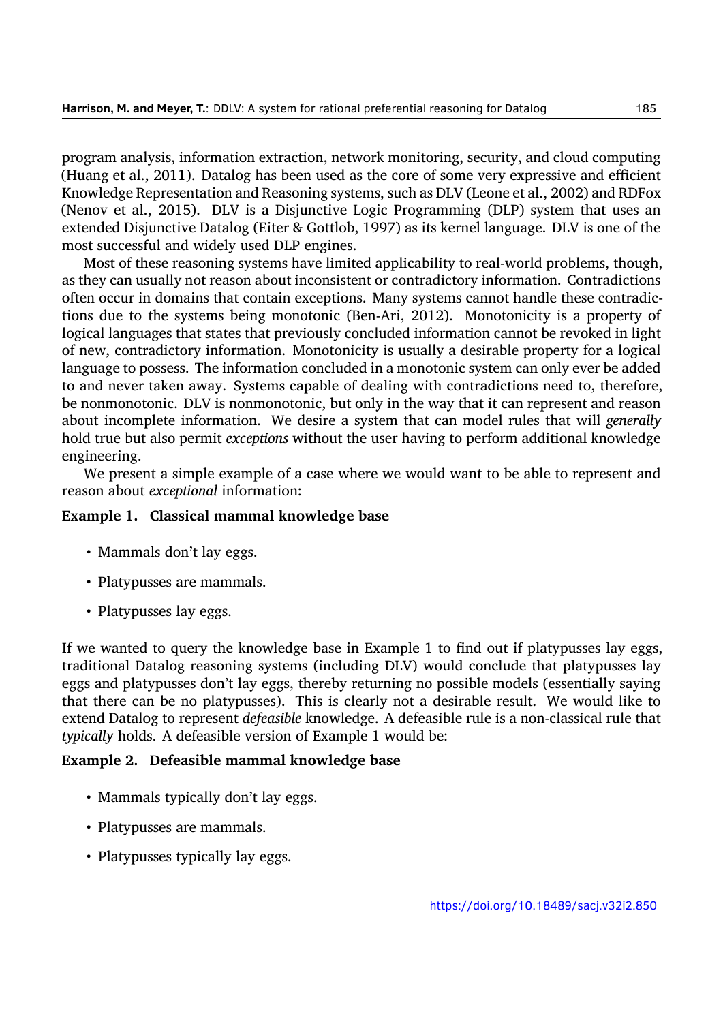program analysis, information extraction, network monitoring, security, and cloud computing (Huang et al., [2011](#page-32-1)). Datalog has been used as the core of some very expressive and efficient Knowledge Representation and Reasoning systems, such as DLV (Leone et al., [2002](#page-32-2)) and RDFox (Nenov et al., [2015](#page-33-1)). DLV is a Disjunctive Logic Programming (DLP) system that uses an extended Disjunctive Datalog (Eiter & Gottlob, [1997\)](#page-31-2) as its kernel language. DLV is one of the most successful and widely used DLP engines.

Most of these reasoning systems have limited applicability to real-world problems, though, as they can usually not reason about inconsistent or contradictory information. Contradictions often occur in domains that contain exceptions. Many systems cannot handle these contradictions due to the systems being monotonic (Ben-Ari, [2012\)](#page-31-3). Monotonicity is a property of logical languages that states that previously concluded information cannot be revoked in light of new, contradictory information. Monotonicity is usually a desirable property for a logical language to possess. The information concluded in a monotonic system can only ever be added to and never taken away. Systems capable of dealing with contradictions need to, therefore, be nonmonotonic. DLV is nonmonotonic, but only in the way that it can represent and reason about incomplete information. We desire a system that can model rules that will *generally* hold true but also permit *exceptions* without the user having to perform additional knowledge engineering.

We present a simple example of a case where we would want to be able to represent and reason about *exceptional* information:

## **Example 1. Classical mammal knowledge base**

- Mammals don't lay eggs.
- Platypusses are mammals.
- Platypusses lay eggs.

If we wanted to query the knowledge base in Example 1 to find out if platypusses lay eggs, traditional Datalog reasoning systems (including DLV) would conclude that platypusses lay eggs and platypusses don't lay eggs, thereby returning no possible models (essentially saying that there can be no platypusses). This is clearly not a desirable result. We would like to extend Datalog to represent *defeasible* knowledge. A defeasible rule is a non-classical rule that *typically* holds. A defeasible version of Example 1 would be:

## **Example 2. Defeasible mammal knowledge base**

- Mammals typically don't lay eggs.
- Platypusses are mammals.
- Platypusses typically lay eggs.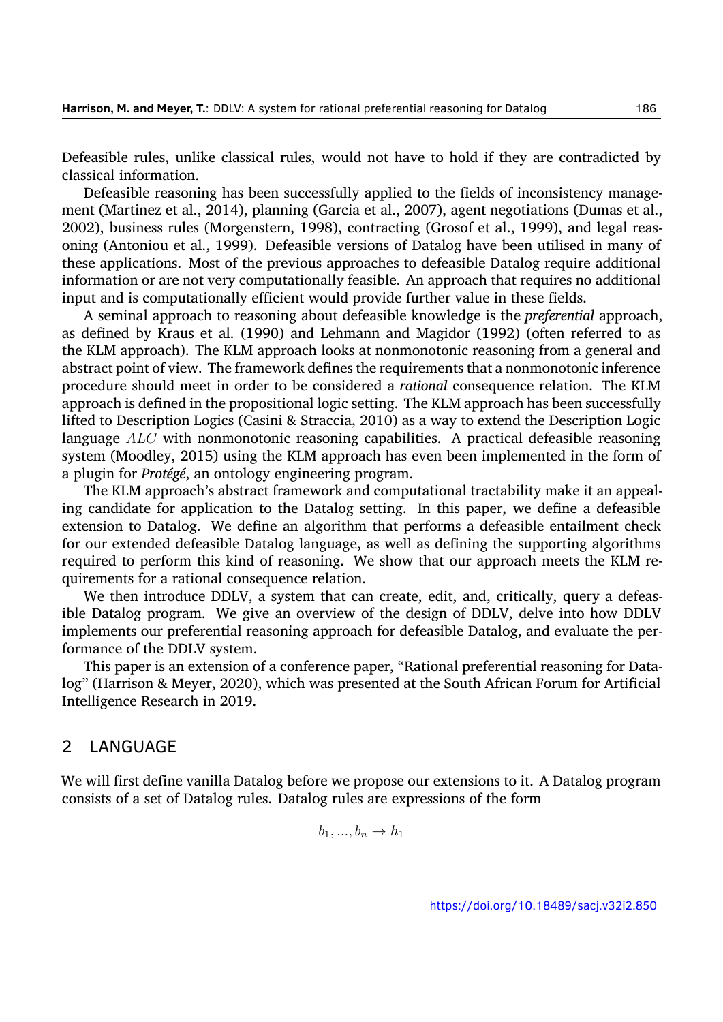Defeasible rules, unlike classical rules, would not have to hold if they are contradicted by classical information.

Defeasible reasoning has been successfully applied to the fields of inconsistency management (Martinez et al., [2014](#page-32-3)), planning (Garcia et al., [2007](#page-31-4)), agent negotiations (Dumas et al., [2002\)](#page-31-5), business rules (Morgenstern, [1998](#page-33-2)), contracting (Grosof et al., [1999](#page-32-4)), and legal reasoning (Antoniou et al., [1999](#page-31-6)). Defeasible versions of Datalog have been utilised in many of these applications. Most of the previous approaches to defeasible Datalog require additional information or are not very computationally feasible. An approach that requires no additional input and is computationally efficient would provide further value in these fields.

A seminal approach to reasoning about defeasible knowledge is the *preferential* approach, as defined by Kraus et al.([1990\)](#page-32-5) and Lehmann and Magidor([1992\)](#page-32-6) (often referred to as the KLM approach). The KLM approach looks at nonmonotonic reasoning from a general and abstract point of view. The framework defines the requirements that a nonmonotonic inference procedure should meet in order to be considered a *rational* consequence relation. The KLM approach is defined in the propositional logic setting. The KLM approach has been successfully lifted to Description Logics (Casini & Straccia, [2010](#page-31-7)) as a way to extend the Description Logic language *ALC* with nonmonotonic reasoning capabilities. A practical defeasible reasoning system (Moodley, [2015](#page-32-7)) using the KLM approach has even been implemented in the form of a plugin for *Protégé*, an ontology engineering program.

The KLM approach's abstract framework and computational tractability make it an appealing candidate for application to the Datalog setting. In this paper, we define a defeasible extension to Datalog. We define an algorithm that performs a defeasible entailment check for our extended defeasible Datalog language, as well as defining the supporting algorithms required to perform this kind of reasoning. We show that our approach meets the KLM requirements for a rational consequence relation.

We then introduce DDLV, a system that can create, edit, and, critically, query a defeasible Datalog program. We give an overview of the design of DDLV, delve into how DDLV implements our preferential reasoning approach for defeasible Datalog, and evaluate the performance of the DDLV system.

This paper is an extension of a conference paper, "Rational preferential reasoning for Datalog" (Harrison & Meyer, [2020\)](#page-32-8), which was presented at the South African Forum for Artificial Intelligence Research in 2019.

## 2 LANGUAGE

We will first define vanilla Datalog before we propose our extensions to it. A Datalog program consists of a set of Datalog rules. Datalog rules are expressions of the form

$$
b_1, ..., b_n \to h_1
$$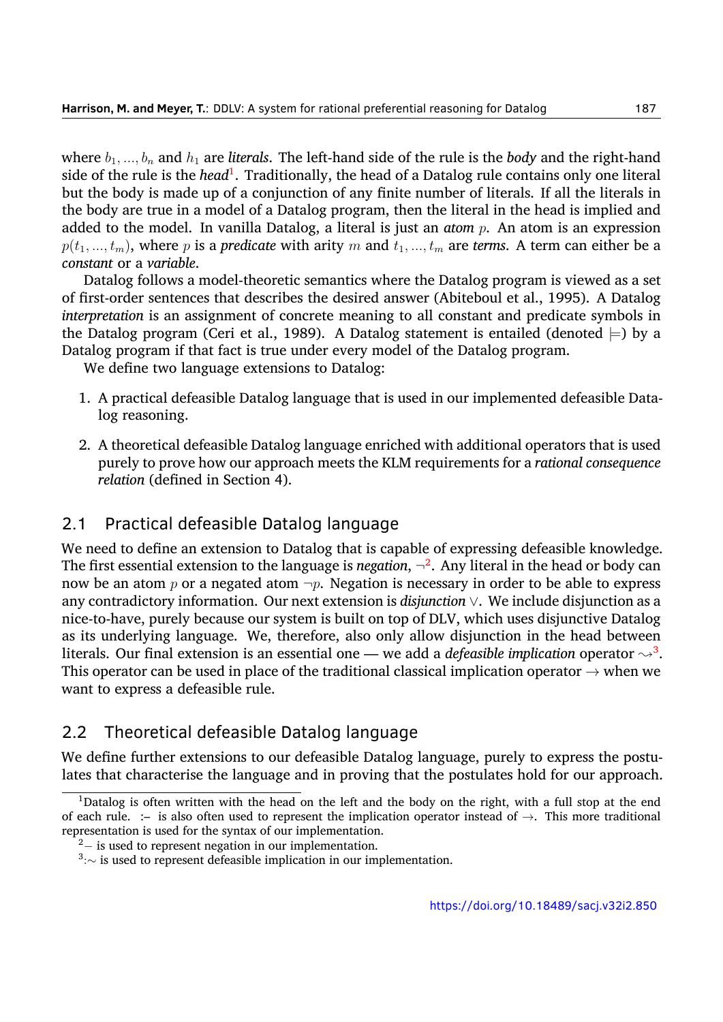where  $b_1, ..., b_n$  and  $h_1$  are *literals*. The left-hand side of the rule is the *body* and the right-hand side of the rule is the *head*<sup>[1](#page-3-0)</sup>. Traditionally, the head of a Datalog rule contains only one literal but the body is made up of a conjunction of any finite number of literals. If all the literals in the body are true in a model of a Datalog program, then the literal in the head is implied and added to the model. In vanilla Datalog, a literal is just an *atom p*. An atom is an expression  $p(t_1, ..., t_m)$ , where *p* is a *predicate* with arity *m* and  $t_1, ..., t_m$  are *terms*. A term can either be a *constant* or a *variable*.

Datalog follows a model-theoretic semantics where the Datalog program is viewed as a set of first-order sentences that describes the desired answer (Abiteboul et al., [1995](#page-31-0)). A Datalog *interpretation* is an assignment of concrete meaning to all constant and predicate symbols in the Datalog program (Ceri et al., [1989](#page-31-1)). A Datalog statement is entailed (denoted  $\models$ ) by a Datalog program if that fact is true under every model of the Datalog program.

We define two language extensions to Datalog:

- 1. A practical defeasible Datalog language that is used in our implemented defeasible Datalog reasoning.
- 2. A theoretical defeasible Datalog language enriched with additional operators that is used purely to prove how our approach meets the KLM requirements for a *rational consequence relation* (defined in Section 4).

# 2.1 Practical defeasible Datalog language

We need to define an extension to Datalog that is capable of expressing defeasible knowledge. The first essential extension to the language is *negation*, *¬* [2](#page-3-1) . Any literal in the head or body can now be an atom  $p$  or a negated atom  $\neg p$ . Negation is necessary in order to be able to express any contradictory information. Our next extension is *disjunction ∨*. We include disjunction as a nice-to-have, purely because our system is built on top of DLV, which uses disjunctive Datalog as its underlying language. We, therefore, also only allow disjunction in the head between literals. Our final extension is an essential one — we add a *defeasible implication* operator  $\leadsto^3$  $\leadsto^3$ . This operator can be used in place of the traditional classical implication operator *→* when we want to express a defeasible rule.

# 2.2 Theoretical defeasible Datalog language

We define further extensions to our defeasible Datalog language, purely to express the postulates that characterise the language and in proving that the postulates hold for our approach.

<span id="page-3-0"></span><sup>&</sup>lt;sup>1</sup>Datalog is often written with the head on the left and the body on the right, with a full stop at the end of each rule. :– is also often used to represent the implication operator instead of *→*. This more traditional representation is used for the syntax of our implementation.

<span id="page-3-1"></span><sup>2</sup>*−* is used to represent negation in our implementation.

<span id="page-3-2"></span><sup>3</sup> :*∼* is used to represent defeasible implication in our implementation.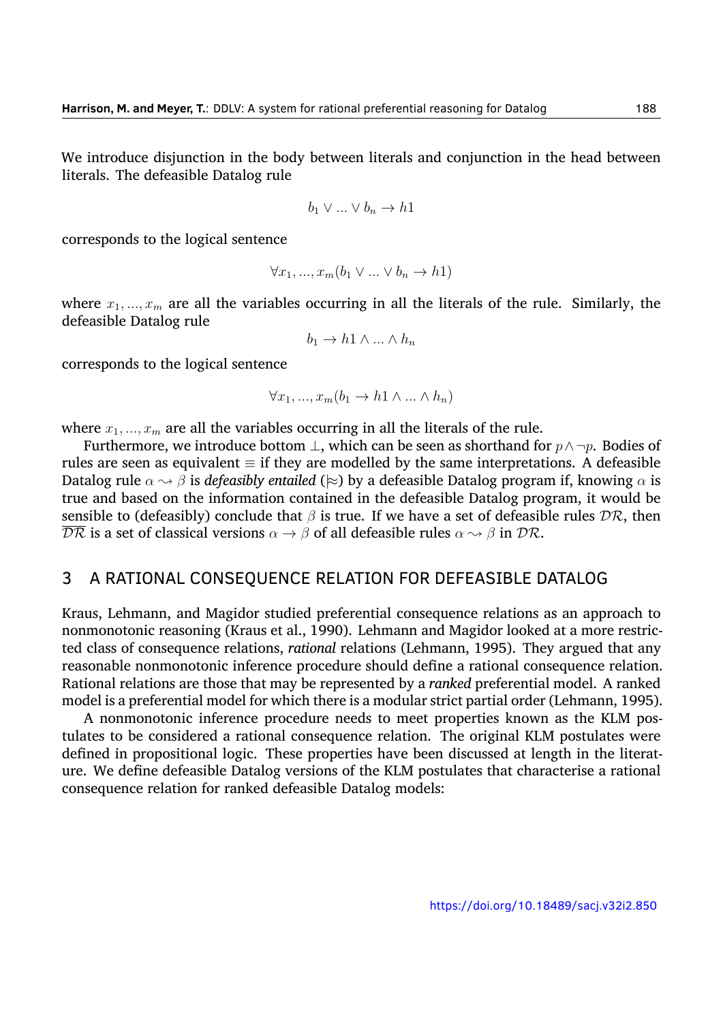We introduce disjunction in the body between literals and conjunction in the head between literals. The defeasible Datalog rule

$$
b_1 \vee \ldots \vee b_n \to h1
$$

corresponds to the logical sentence

$$
\forall x_1, ..., x_m (b_1 \lor ... \lor b_n \to h1)
$$

where  $x_1, \ldots, x_m$  are all the variables occurring in all the literals of the rule. Similarly, the defeasible Datalog rule

$$
b_1 \to h1 \land \dots \land h_n
$$

corresponds to the logical sentence

$$
\forall x_1, ..., x_m (b_1 \to h1 \land ... \land h_n)
$$

where  $x_1, \ldots, x_m$  are all the variables occurring in all the literals of the rule.

Furthermore, we introduce bottom *⊥*, which can be seen as shorthand for *p∧¬p*. Bodies of rules are seen as equivalent *≡* if they are modelled by the same interpretations. A defeasible Datalog rule *α ❀ β* is *defeasibly entailed* (*|≈*) by a defeasible Datalog program if, knowing *α* is true and based on the information contained in the defeasible Datalog program, it would be sensible to (defeasibly) conclude that *β* is true. If we have a set of defeasible rules *DR*, then  $\overline{\mathcal{DR}}$  is a set of classical versions  $\alpha \to \beta$  of all defeasible rules  $\alpha \to \beta$  in  $\mathcal{DR}$ .

## 3 A RATIONAL CONSEQUENCE RELATION FOR DEFEASIBLE DATALOG

Kraus, Lehmann, and Magidor studied preferential consequence relations as an approach to nonmonotonic reasoning (Kraus et al., [1990\)](#page-32-5). Lehmann and Magidor looked at a more restricted class of consequence relations, *rational* relations (Lehmann, [1995](#page-32-9)). They argued that any reasonable nonmonotonic inference procedure should define a rational consequence relation. Rational relations are those that may be represented by a *ranked* preferential model. A ranked model is a preferential model for which there is a modular strict partial order (Lehmann, [1995](#page-32-9)).

A nonmonotonic inference procedure needs to meet properties known as the KLM postulates to be considered a rational consequence relation. The original KLM postulates were defined in propositional logic. These properties have been discussed at length in the literature. We define defeasible Datalog versions of the KLM postulates that characterise a rational consequence relation for ranked defeasible Datalog models: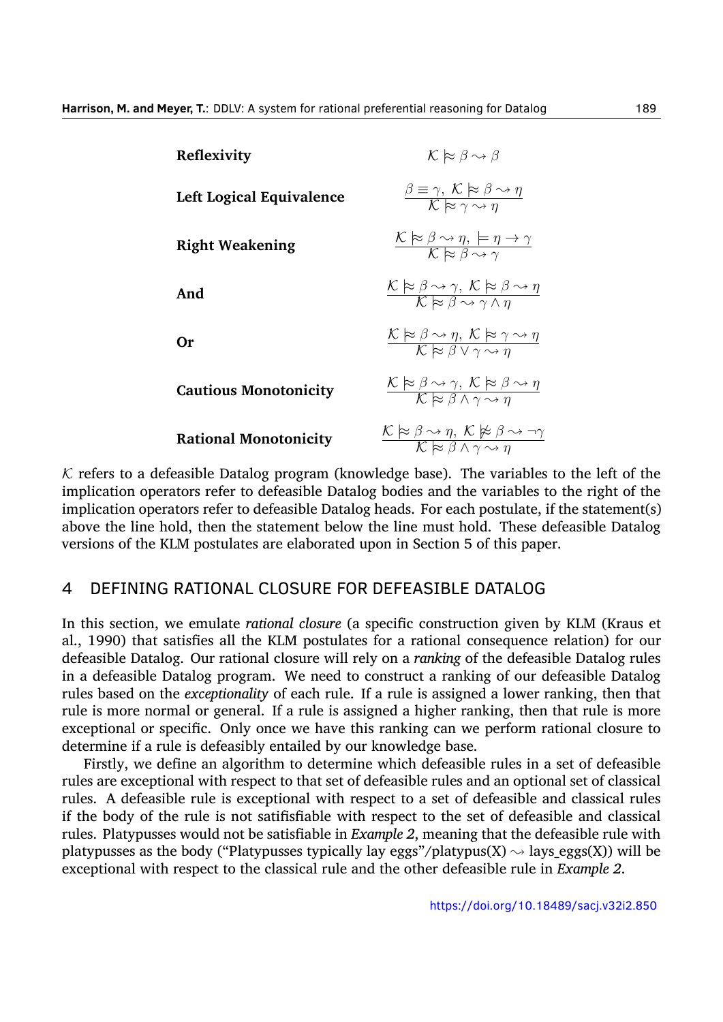| Reflexivity                  | $\mathcal{K} \approx \beta \rightsquigarrow \beta$                                                                                                                                   |
|------------------------------|--------------------------------------------------------------------------------------------------------------------------------------------------------------------------------------|
| Left Logical Equivalence     | $\frac{\beta \equiv \gamma, \; K \approx \beta \sim \eta}{\mathcal{K} \approx \gamma \sim n}$                                                                                        |
| <b>Right Weakening</b>       | $\frac{\mathcal{K} \approx \beta \sim \eta, \mu \to \gamma}{\mathcal{K} \approx \beta \sim \gamma}$                                                                                  |
| And                          | $\frac{\mathcal{K} \approx \beta \rightsquigarrow \gamma, \ \mathcal{K} \approx \beta \rightsquigarrow \eta}{\mathcal{K} \approx \beta \rightsquigarrow \gamma \wedge n}$            |
| Оr                           | $\frac{\mathcal{K} \models \beta \leadsto \eta, \ \mathcal{K} \models \gamma \leadsto \eta}{\mathcal{K} \models \beta \lor \gamma \leadsto \eta}$                                    |
| <b>Cautious Monotonicity</b> | $\frac{\mathcal{K} \models \beta \rightsquigarrow \gamma, \ \mathcal{K} \models \beta \rightsquigarrow \eta}{\mathcal{K} \models \beta \land \gamma \rightsquigarrow \eta}$          |
| <b>Rational Monotonicity</b> | $\frac{\mathcal{K} \approx \beta \rightsquigarrow \eta, \ \mathcal{K} \not\models \beta \rightsquigarrow \neg \gamma}{\mathcal{K} \approx \beta \land \gamma \rightsquigarrow \eta}$ |

 $K$  refers to a defeasible Datalog program (knowledge base). The variables to the left of the implication operators refer to defeasible Datalog bodies and the variables to the right of the implication operators refer to defeasible Datalog heads. For each postulate, if the statement(s) above the line hold, then the statement below the line must hold. These defeasible Datalog versions of the KLM postulates are elaborated upon in Section 5 of this paper.

## 4 DEFINING RATIONAL CLOSURE FOR DEFEASIBLE DATALOG

In this section, we emulate *rational closure* (a specific construction given by KLM (Kraus et al., [1990](#page-32-5)) that satisfies all the KLM postulates for a rational consequence relation) for our defeasible Datalog. Our rational closure will rely on a *ranking* of the defeasible Datalog rules in a defeasible Datalog program. We need to construct a ranking of our defeasible Datalog rules based on the *exceptionality* of each rule. If a rule is assigned a lower ranking, then that rule is more normal or general. If a rule is assigned a higher ranking, then that rule is more exceptional or specific. Only once we have this ranking can we perform rational closure to determine if a rule is defeasibly entailed by our knowledge base.

Firstly, we define an algorithm to determine which defeasible rules in a set of defeasible rules are exceptional with respect to that set of defeasible rules and an optional set of classical rules. A defeasible rule is exceptional with respect to a set of defeasible and classical rules if the body of the rule is not satifisfiable with respect to the set of defeasible and classical rules. Platypusses would not be satisfiable in *Example 2*, meaning that the defeasible rule with platypusses as the body ("Platypusses typically lay eggs"/platypus(X)  $\rightsquigarrow$  lays eggs(X)) will be exceptional with respect to the classical rule and the other defeasible rule in *Example 2*.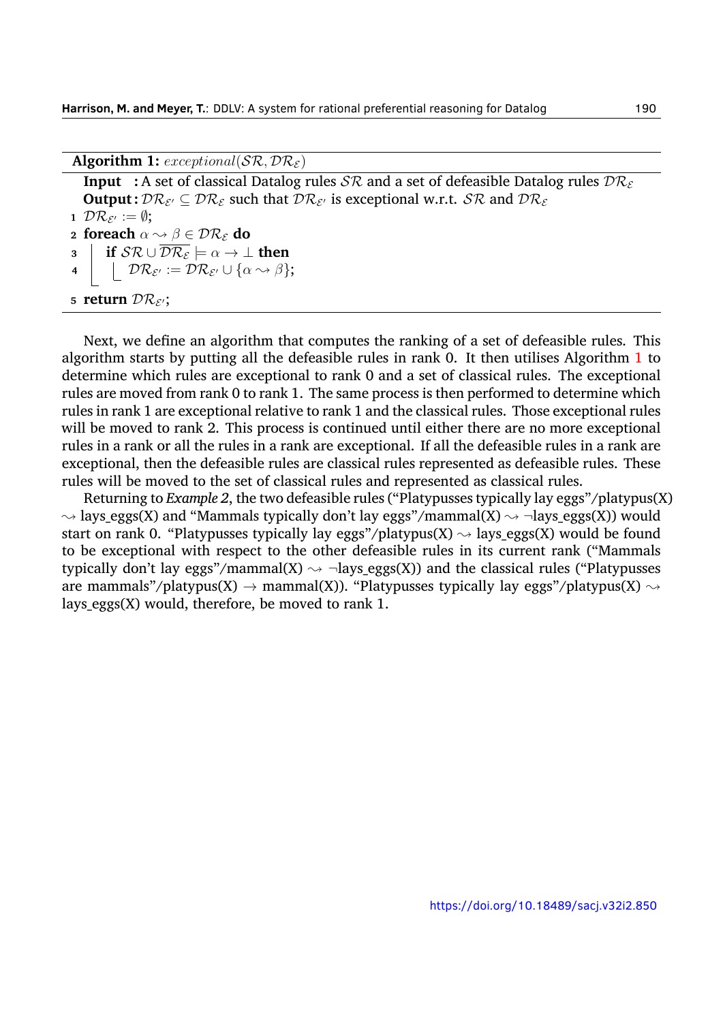<span id="page-6-0"></span>Algorithm 1:  $exceptional(SR, DR<sub>\epsilon</sub>)$ 

| <b>Input</b> : A set of classical Datalog rules $\mathcal{SR}$ and a set of defeasible Datalog rules $\mathcal{DR}_{\varepsilon}$                                                               |  |
|-------------------------------------------------------------------------------------------------------------------------------------------------------------------------------------------------|--|
| <b>Output:</b> $\mathcal{DR}_{\mathcal{E}'} \subseteq \mathcal{DR}_{\mathcal{E}}$ such that $\mathcal{DR}_{\mathcal{E}'}$ is exceptional w.r.t. $\mathcal{SR}$ and $\mathcal{DR}_{\mathcal{E}}$ |  |
| 1 $\mathcal{DR}_{\mathcal{E}'} := \emptyset$ ;                                                                                                                                                  |  |
| 2 foreach $\alpha \rightsquigarrow \beta \in \mathcal{DR}_{\varepsilon}$ do                                                                                                                     |  |
| 3 if $S\mathcal{R} \cup \overline{\mathcal{DR}_{\mathcal{E}}} \models \alpha \to \bot$ then                                                                                                     |  |
| 4 $\Box$ $\mathcal{DR}_{\mathcal{E}'} := \mathcal{DR}_{\mathcal{E}'} \cup \{ \alpha \leadsto \beta \};$                                                                                         |  |
| 5 return $\mathcal{DR}_{\mathcal{E}'}$ ;                                                                                                                                                        |  |

Next, we define an algorithm that computes the ranking of a set of defeasible rules. This algorithm starts by putting all the defeasible rules in rank 0. It then utilises Algorithm [1](#page-6-0) to determine which rules are exceptional to rank 0 and a set of classical rules. The exceptional rules are moved from rank 0 to rank 1. The same process is then performed to determine which rules in rank 1 are exceptional relative to rank 1 and the classical rules. Those exceptional rules will be moved to rank 2. This process is continued until either there are no more exceptional rules in a rank or all the rules in a rank are exceptional. If all the defeasible rules in a rank are exceptional, then the defeasible rules are classical rules represented as defeasible rules. These rules will be moved to the set of classical rules and represented as classical rules.

Returning to *Example 2*, the two defeasible rules ("Platypusses typically lay eggs"/platypus(X)  $\rightsquigarrow$  lays eggs(X) and "Mammals typically don't lay eggs"/mammal(X)  $\rightsquigarrow$   $\neg$ lays eggs(X)) would start on rank 0. "Platypusses typically lay eggs"/platypus(X)  $\rightsquigarrow$  lays eggs(X) would be found to be exceptional with respect to the other defeasible rules in its current rank ("Mammals typically don't lay eggs"/mammal(X)  $\rightsquigarrow$   $\neg$ lays\_eggs(X)) and the classical rules ("Platypusses are mammals"/platypus(X)  $\rightarrow$  mammal(X)). "Platypusses typically lay eggs"/platypus(X)  $\rightsquigarrow$ lays eggs $(X)$  would, therefore, be moved to rank 1.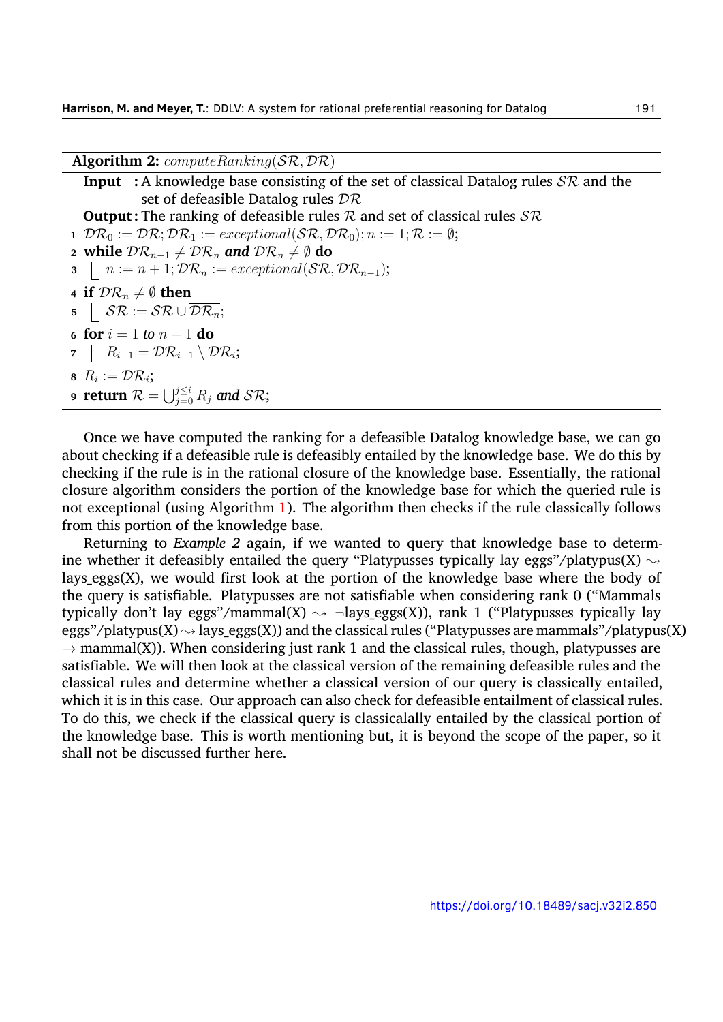<span id="page-7-0"></span>**Algorithm 2:** *computeRanking*(*SR, DR*)

```
Input :A knowledge base consisting of the set of classical Datalog rules SR and the
                set of defeasible Datalog rules DR
  Output : The ranking of defeasible rules R and set of classical rules SR
1 \mathcal{DR}_0 := \mathcal{DR}; \mathcal{DR}_1 := exceptional(\mathcal{SR}, \mathcal{DR}_0); n := 1; \mathcal{R} := \emptyset;2 while \mathcal{DR}_{n-1} \neq \mathcal{DR}_n and \mathcal{DR}_n \neq \emptyset do
3 \mid n := n + 1; \mathcal{DR}_n := exceptional(\mathcal{SR}, \mathcal{DR}_{n-1});
4 if \mathcal{DR}_n \neq \emptyset then
5 S\mathcal{R} := \mathcal{SR} \cup \mathcal{DR}_n;6 for i = 1 to n − 1 do
7 Ri−1 = DRi−1 \ DRi
;
8 R_i := \mathcal{DR}_i;
9 \mathbf{return} \ \mathcal{R} = \bigcup_{j=0}^{j\leq i} R_j \ \textit{and} \ \mathcal{SR};
```
Once we have computed the ranking for a defeasible Datalog knowledge base, we can go about checking if a defeasible rule is defeasibly entailed by the knowledge base. We do this by checking if the rule is in the rational closure of the knowledge base. Essentially, the rational closure algorithm considers the portion of the knowledge base for which the queried rule is not exceptional (using Algorithm [1](#page-6-0)). The algorithm then checks if the rule classically follows from this portion of the knowledge base.

Returning to *Example 2* again, if we wanted to query that knowledge base to determine whether it defeasibly entailed the query "Platypusses typically lay eggs"/platypus(X)  $\rightsquigarrow$ lays eggs $(X)$ , we would first look at the portion of the knowledge base where the body of the query is satisfiable. Platypusses are not satisfiable when considering rank 0 ("Mammals typically don't lay eggs"/mammal(X)  $\rightsquigarrow$   $\neg$ lays\_eggs(X)), rank 1 ("Platypusses typically lay eggs"/platypus(X)  $\rightsquigarrow$  lays eggs(X)) and the classical rules ("Platypusses are mammals"/platypus(X)  $\rightarrow$  mammal(X)). When considering just rank 1 and the classical rules, though, platypusses are satisfiable. We will then look at the classical version of the remaining defeasible rules and the classical rules and determine whether a classical version of our query is classically entailed, which it is in this case. Our approach can also check for defeasible entailment of classical rules. To do this, we check if the classical query is classicalally entailed by the classical portion of the knowledge base. This is worth mentioning but, it is beyond the scope of the paper, so it shall not be discussed further here.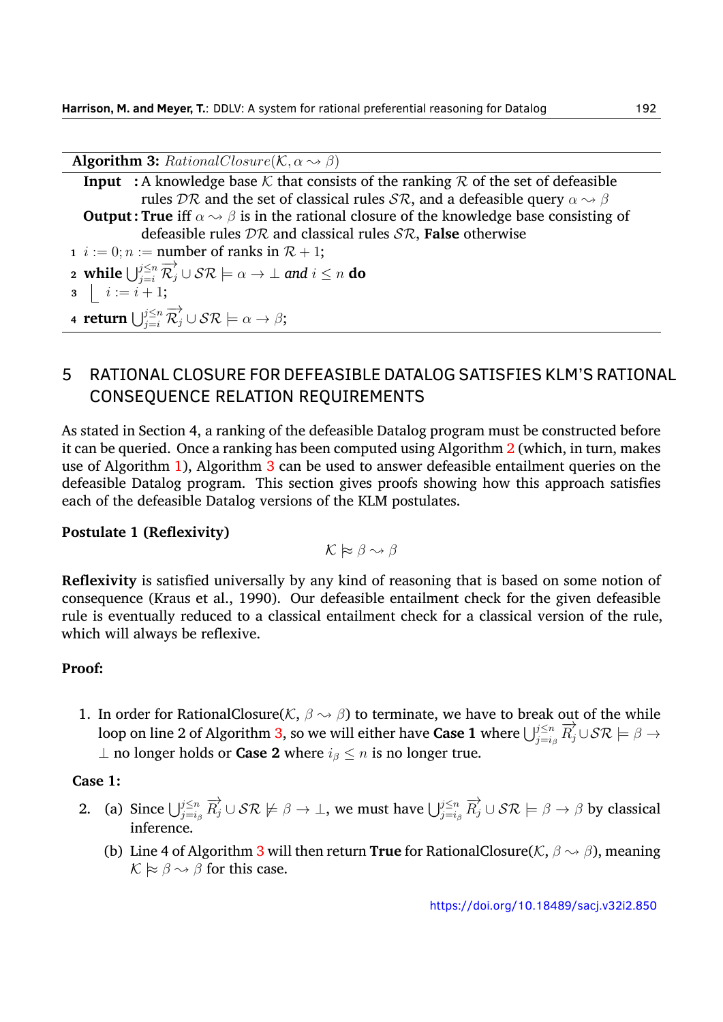<span id="page-8-0"></span>**Algorithm 3:** *RationalClosure*( $K, \alpha \rightarrow \beta$ )

| <b>Input</b> : A knowledge base K that consists of the ranking R of the set of defeasible                                            |
|--------------------------------------------------------------------------------------------------------------------------------------|
| rules DR and the set of classical rules SR, and a defeasible query $\alpha \rightarrow \beta$                                        |
| <b>Output: True</b> iff $\alpha \rightarrow \beta$ is in the rational closure of the knowledge base consisting of                    |
| defeasible rules $\mathcal{DR}$ and classical rules $\mathcal{SR}$ , False otherwise                                                 |
| $i := 0; n :=$ number of ranks in $\mathcal{R} + 1;$                                                                                 |
| 2 while $\bigcup_{i=i}^{j\leq n} \overrightarrow{\mathcal{R}_j} \cup \mathcal{SR} \models \alpha \rightarrow \bot$ and $i \leq n$ do |
| $3   i := i + 1;$                                                                                                                    |
| 4 return $\bigcup_{j=i}^{j\leq n} \overrightarrow{\mathcal{R}}_j \cup \mathcal{SR} \models \alpha \rightarrow \beta;$                |

# 5 RATIONAL CLOSURE FOR DEFEASIBLE DATALOG SATISFIES KLM'S RATIONAL CONSEQUENCE RELATION REQUIREMENTS

As stated in Section 4, a ranking of the defeasible Datalog program must be constructed before it can be queried. Once a ranking has been computed using Algorithm [2](#page-7-0) (which, in turn, makes use of Algorithm [1](#page-6-0)), Algorithm [3](#page-8-0) can be used to answer defeasible entailment queries on the defeasible Datalog program. This section gives proofs showing how this approach satisfies each of the defeasible Datalog versions of the KLM postulates.

## **Postulate 1 (Reflexivity)**

$$
\mathcal{K} \not\approx \beta \leadsto \beta
$$

**Reflexivity** is satisfied universally by any kind of reasoning that is based on some notion of consequence (Kraus et al., [1990\)](#page-32-5). Our defeasible entailment check for the given defeasible rule is eventually reduced to a classical entailment check for a classical version of the rule, which will always be reflexive.

## **Proof:**

1. In order for RationalClosure( $K$ ,  $\beta \rightarrow \beta$ ) to terminate, we have to break out of the while  $\frac{1}{2}$  of Algorithm [3,](#page-8-0) so we will either have **Case 1** where  $\bigcup_{j=i_\beta}^{j\leq n} \overline{R}_j^j \cup \mathcal{SR} \models \beta \rightarrow \overline{R}_j^j$ *⊥* no longer holds or **Case 2** where *i<sup>β</sup> ≤ n* is no longer true.

## **Case 1:**

- 2. (a) Since  $\bigcup_{j=i_\beta}^{j\leq n} \overrightarrow{R_j} \cup \mathcal{SR} \not\models \beta \to \bot$ , we must have  $\bigcup_{j=i_\beta}^{j\leq n} \overrightarrow{R_j} \cup \mathcal{SR} \not\models \beta \to \beta$  by classical inference.
	- (b) Line 4 of Algorithm [3](#page-8-0) will then return **True** for RationalClosure(*K*, *β ❀ β*), meaning  $K \approx \beta \sim \beta$  for this case.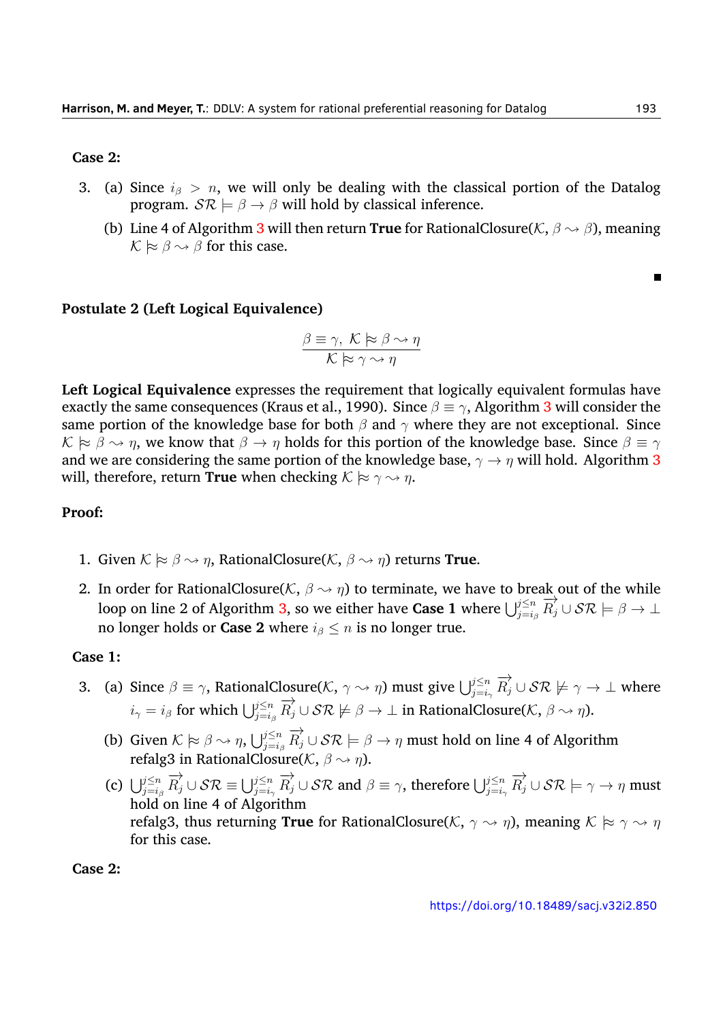#### **Case 2:**

- 3. (a) Since *i<sup>β</sup> > n*, we will only be dealing with the classical portion of the Datalog program.  $S\mathcal{R} \models \beta \rightarrow \beta$  will hold by classical inference.
	- (b) Line 4 of Algorithm [3](#page-8-0) will then return **True** for RationalClosure( $K$ ,  $\beta \rightarrow \beta$ ), meaning  $K \approx \beta \sim \beta$  for this case.

## **Postulate 2 (Left Logical Equivalence)**

$$
\frac{\beta \equiv \gamma, \ \mathcal{K} \succcurlyeq \beta \leadsto \eta}{\mathcal{K} \succcurlyeq \gamma \leadsto \eta}
$$

**Left Logical Equivalence** expresses the requirement that logically equivalent formulas have exactly the same consequences (Kraus et al., [1990\)](#page-32-5). Since  $\beta \equiv \gamma$ , Algorithm [3](#page-8-0) will consider the same portion of the knowledge base for both *β* and *γ* where they are not exceptional. Since  $K \approx \beta \rightsquigarrow \eta$ , we know that  $\beta \rightarrow \eta$  holds for this portion of the knowledge base. Since  $\beta \equiv \gamma$ and we are considering the same portion of the knowledge base,  $\gamma \rightarrow \eta$  will hold. Algorithm [3](#page-8-0) will, therefore, return **True** when checking  $K \approx \gamma \rightsquigarrow \eta$ .

## **Proof:**

- 1. Given  $K \approx \beta \rightarrow \eta$ , RationalClosure( $K$ ,  $\beta \rightarrow \eta$ ) returns **True**.
- 2. In order for RationalClosure( $K$ ,  $\beta \rightarrow \eta$ ) to terminate, we have to break out of the while loop on line 2 of Algorithm [3](#page-8-0), so we either have **Case 1** where  $\bigcup_{j=i_\beta}^{j\leq n} \overline{R}_j^j \cup \mathcal{SR} \models \beta \rightarrow \bot$ no longer holds or **Case 2** where  $i_{\beta} \leq n$  is no longer true.

#### **Case 1:**

- 3. (a) Since  $\beta \equiv \gamma$ , RationalClosure( $K$ ,  $\gamma \sim \eta$ ) must give  $\bigcup_{j=i_{\gamma}}^{j \leq n} \overrightarrow{R_j} \cup \mathcal{SR} \not\models \gamma \to \bot$  where  $i_{\gamma} = i_{\beta}$  for which  $\bigcup_{j=i_{\beta}}^{j\leq n} \overrightarrow{R_j} \cup \mathcal{SR} \not\models \beta \to \bot$  in RationalClosure(*K*,  $\beta \leadsto \eta$ ).
	- (b) Given  $K \models \beta \leadsto \eta$ ,  $\bigcup_{j=i_\beta}^{j\leq n} \overrightarrow{R_j} \cup \mathcal{SR} \models \beta \to \eta$  must hold on line 4 of Algorithm refalg3 in RationalClosure(*K*, *β ❀ η*).
	- (c)  $\bigcup_{j=i_\beta}^{j\leq n} \overrightarrow{R_j} \cup \mathcal{SR} \equiv \bigcup_{j=i_\gamma}^{j\leq n} \overrightarrow{R_j} \cup \mathcal{SR}$  and  $\beta \equiv \gamma$ , therefore  $\bigcup_{j=i_\gamma}^{j\leq n} \overrightarrow{R_j} \cup \mathcal{SR} \models \gamma \rightarrow \eta$  must hold on line 4 of Algorithm refalg3, thus returning **True** for RationalClosure( $K$ ,  $\gamma \rightsquigarrow \eta$ ), meaning  $K \approx \gamma \rightsquigarrow \eta$ for this case.

**Case 2:**

<https://doi.org/10.18489/sacj.v32i2.850>

 $\blacksquare$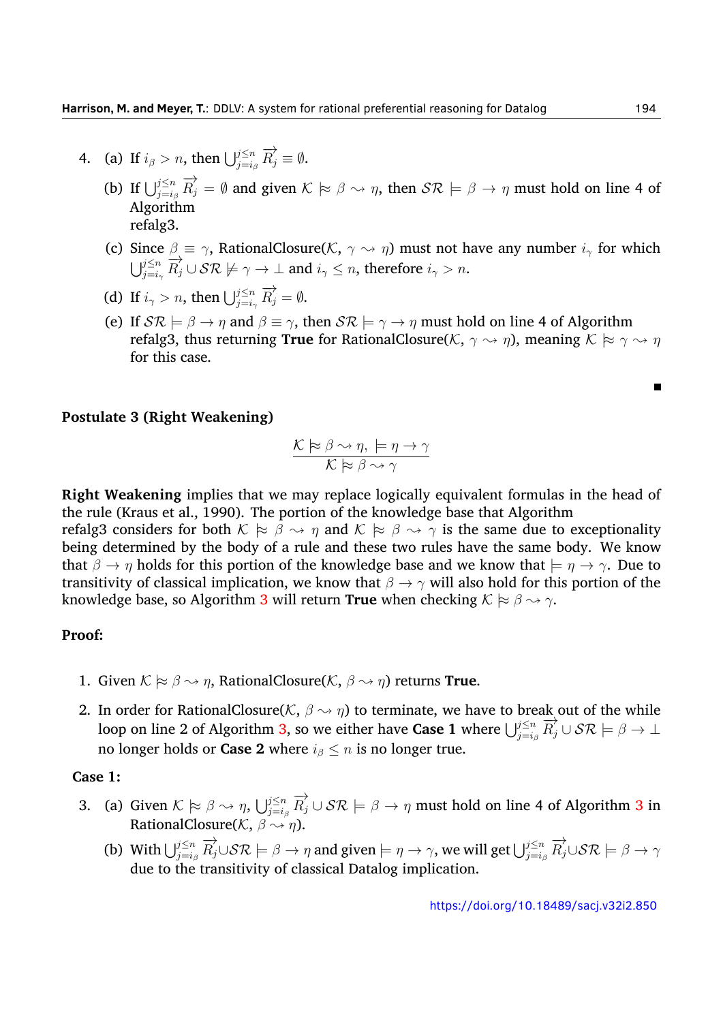- 4. (a) If  $i_{\beta} > n$ , then  $\bigcup_{j=i_{\beta}}^{j \leq n} \overrightarrow{R_j} \equiv \emptyset$ .
	- (b) If  $\bigcup_{j=i_\beta}^{j\leq n} \overrightarrow{R_j} = \emptyset$  and given  $K \models \beta \leadsto \eta$ , then  $S\mathcal{R} \models \beta \to \eta$  must hold on line 4 of Algorithm refalg3.
	- (c) Since  $\beta \equiv \gamma$ , RationalClosure( $K$ ,  $\gamma \sim \eta$ ) must not have any number  $i_{\gamma}$  for which  $\bigcup_{j=i_\gamma}^{j\leq n} \overline{R}_j^j \cup \mathcal{SR} \not\models \gamma \to \bot$  and  $i_\gamma \leq n$ , therefore  $i_\gamma > n$ .
	- (d) If  $i_\gamma > n$ , then  $\bigcup_{j=i_\gamma}^{j \leq n} \overrightarrow{R}_j = \emptyset$ .
	- (e) If  $S\mathcal{R} \models \beta \rightarrow \eta$  and  $\beta \equiv \gamma$ , then  $S\mathcal{R} \models \gamma \rightarrow \eta$  must hold on line 4 of Algorithm refalg3, thus returning **True** for RationalClosure( $K$ ,  $\gamma \rightsquigarrow \eta$ ), meaning  $K \approx \gamma \rightsquigarrow \eta$ for this case.

#### **Postulate 3 (Right Weakening)**

$$
\frac{\mathcal{K} \succcurlyeq \beta \rightsquigarrow \eta, \models \eta \rightarrow \gamma}{\mathcal{K} \succcurlyeq \beta \rightsquigarrow \gamma}
$$

**Right Weakening** implies that we may replace logically equivalent formulas in the head of the rule (Kraus et al., [1990\)](#page-32-5). The portion of the knowledge base that Algorithm

refalg3 considers for both  $K \approx \beta \sim \eta$  and  $K \approx \beta \sim \gamma$  is the same due to exceptionality being determined by the body of a rule and these two rules have the same body. We know that  $\beta \to \eta$  holds for this portion of the knowledge base and we know that  $\models \eta \to \gamma$ . Due to transitivity of classical implication, we know that *β → γ* will also hold for this portion of the knowledge base, so Algorithm [3](#page-8-0) will return **True** when checking  $K \approx \beta \rightarrow \gamma$ .

#### **Proof:**

- 1. Given  $K \approx \beta \sim \eta$ , RationalClosure( $K$ ,  $\beta \sim \eta$ ) returns **True**.
- 2. In order for RationalClosure( $K$ ,  $\beta \rightarrow \eta$ ) to terminate, we have to break out of the while loop on line 2 of Algorithm [3](#page-8-0), so we either have **Case 1** where  $\bigcup_{j=i_\beta}^{j\leq n} \overline{R}_j^j \cup \mathcal{SR} \models \beta \rightarrow \bot$ no longer holds or **Case 2** where  $i_{\beta} \leq n$  is no longer true.

#### **Case 1:**

- [3](#page-8-0). (a) Given  $K \models \beta \leadsto \eta$ ,  $\bigcup_{j=i_\beta}^{j \le n} \overrightarrow{R_j} \cup \mathcal{SR} \models \beta \to \eta$  must hold on line 4 of Algorithm 3 in RationalClosure( $K$ ,  $\beta \rightsquigarrow \eta$ ).
	- (b) With  $\bigcup_{j=i_\beta}^{j\leq n} \overrightarrow{R_j} \cup \mathcal{SR} \models \beta \to \eta$  and given  $\models \eta \to \gamma$ , we will get  $\bigcup_{j=i_\beta}^{j\leq n} \overrightarrow{R_j} \cup \mathcal{SR} \models \beta \to \gamma$ due to the transitivity of classical Datalog implication.

 $\blacksquare$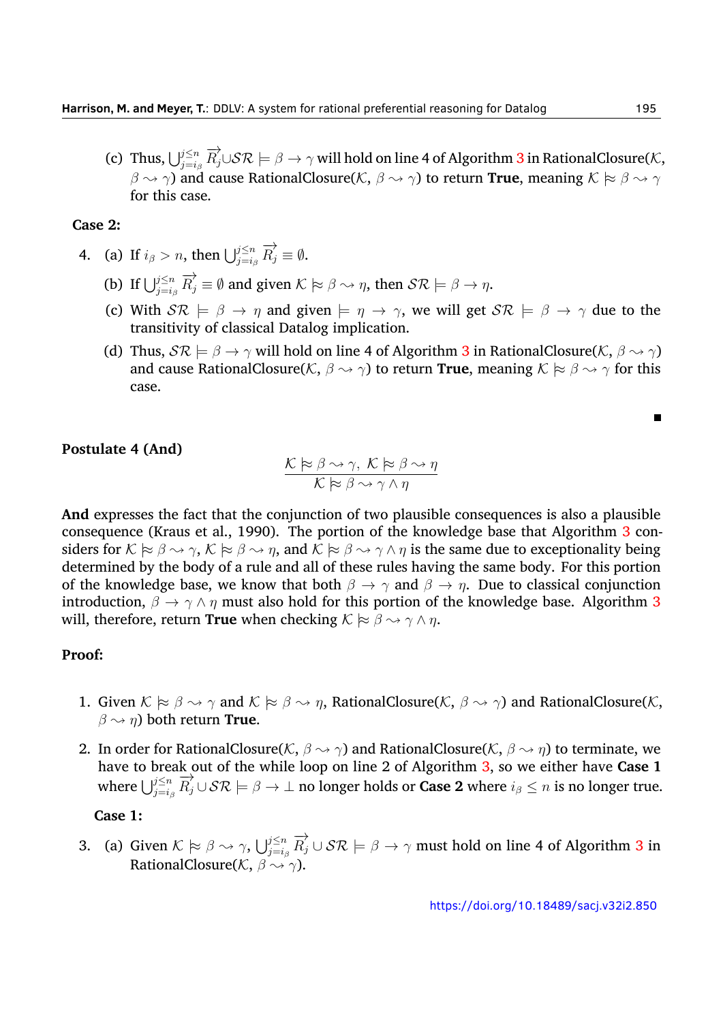$f(\mathbf{c})$  Thus,  $\bigcup_{j=i_\beta}^{j\leq n} \overrightarrow{R_j}\cup\mathcal{SR} \models \beta\to\gamma$  will hold on line 4 of Algorithm  $3$  in RationalClosure( $\mathcal K,$ *β ❀ γ*) and cause RationalClosure(*K*, *β ❀ γ*) to return **True**, meaning *K |≈ β ❀ γ* for this case.

#### **Case 2:**

- 4. (a) If  $i_{\beta} > n$ , then  $\bigcup_{j=i_{\beta}}^{j \leq n} \overrightarrow{R_j} \equiv \emptyset$ .
	- (b) If  $\bigcup_{j=i_\beta}^{j\leq n} \overrightarrow{R_j} \equiv \emptyset$  and given  $K \models \beta \rightarrow \eta$ , then  $S\mathcal{R} \models \beta \rightarrow \eta$ .
	- (c) With  $S\mathcal{R} \models \beta \rightarrow \eta$  and given  $\models \eta \rightarrow \gamma$ , we will get  $S\mathcal{R} \models \beta \rightarrow \gamma$  due to the transitivity of classical Datalog implication.
	- (d) Thus,  $S\mathcal{R} \models \beta \rightarrow \gamma$  will hold on line 4 of Algorithm [3](#page-8-0) in RationalClosure( $K, \beta \rightarrow \gamma$ ) and cause RationalClosure( $K$ ,  $\beta \rightsquigarrow \gamma$ ) to return **True**, meaning  $K \approx \beta \rightsquigarrow \gamma$  for this case.

#### **Postulate 4 (And)**

$$
\frac{\mathcal{K} \approx \beta \rightsquigarrow \gamma, \ \mathcal{K} \approx \beta \rightsquigarrow \eta}{\mathcal{K} \approx \beta \rightsquigarrow \gamma \land \eta}
$$

**And** expresses the fact that the conjunction of two plausible consequences is also a plausible consequence (Kraus et al., [1990\)](#page-32-5). The portion of the knowledge base that Algorithm [3](#page-8-0) considers for  $K \approx \beta \rightsquigarrow \gamma$ ,  $K \approx \beta \rightsquigarrow \eta$ , and  $K \approx \beta \rightsquigarrow \gamma \wedge \eta$  is the same due to exceptionality being determined by the body of a rule and all of these rules having the same body. For this portion of the knowledge base, we know that both  $\beta \to \gamma$  and  $\beta \to \eta$ . Due to classical conjunction introduction,  $\beta \rightarrow \gamma \wedge \eta$  must also hold for this portion of the knowledge base. Algorithm [3](#page-8-0) will, therefore, return **True** when checking  $K \approx \beta \rightsquigarrow \gamma \wedge \eta$ .

#### **Proof:**

- 1. Given  $K \approx \beta \rightsquigarrow \gamma$  and  $K \approx \beta \rightsquigarrow \eta$ , RationalClosure(*K*,  $\beta \rightsquigarrow \gamma$ ) and RationalClosure(*K*,  $\beta \rightsquigarrow \eta$ ) both return **True**.
- 2. In order for RationalClosure( $K$ ,  $\beta \rightarrow \gamma$ ) and RationalClosure( $K$ ,  $\beta \rightarrow \eta$ ) to terminate, we have to break out of the while loop on line 2 of Algorithm [3,](#page-8-0) so we either have **Case 1** where  $\bigcup_{j=i_\beta}^{j\leq n} \overrightarrow{R_j} \cup \mathcal{SR} \models \beta \to \bot$  no longer holds or **Case 2** where  $i_\beta \leq n$  is no longer true.

#### **Case 1:**

[3](#page-8-0). (a) Given  $K \models \beta \leadsto \gamma$ ,  $\bigcup_{j=i_\beta}^{j \le n} \overrightarrow{R_j} \cup \mathcal{SR} \models \beta \to \gamma$  must hold on line 4 of Algorithm 3 in RationalClosure(*K*, *β ❀ γ*).

Е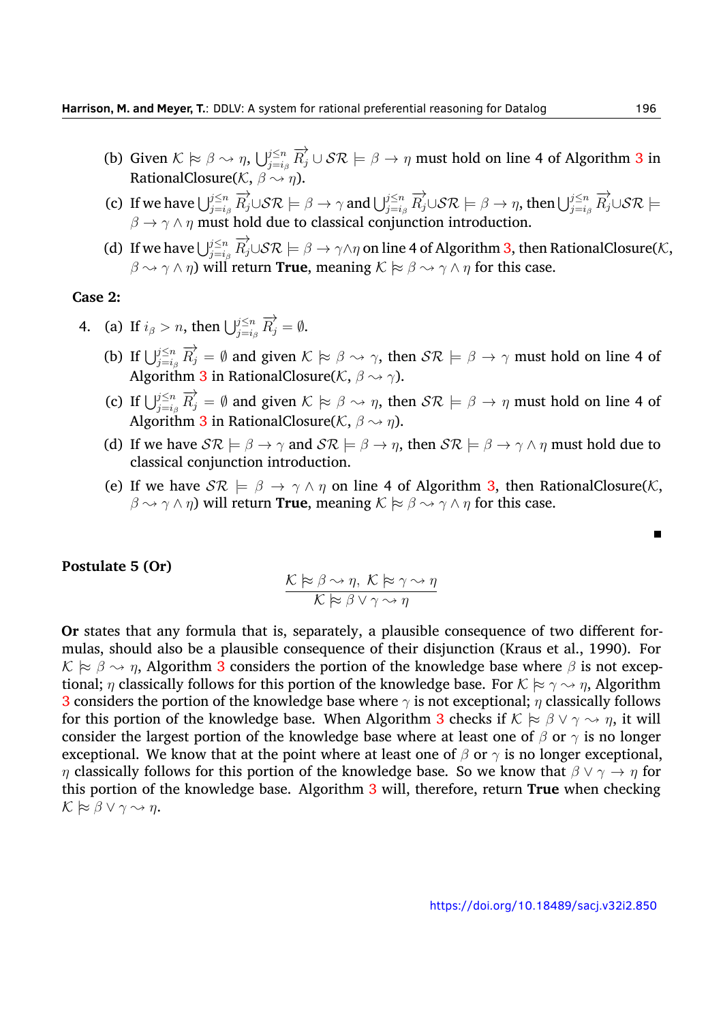- (b) Given  $K \models \beta \leadsto \eta$ ,  $\bigcup_{j=i_\beta}^{j \le n} \overrightarrow{R_j} \cup \mathcal{SR} \models \beta \to \eta$  must hold on line 4 of Algorithm [3](#page-8-0) in RationalClosure( $K$ ,  $\beta \rightsquigarrow \eta$ ).
- (c) If we have  $\bigcup_{j=i_\beta}^{j\leq n} \overrightarrow{R_j}\cup\mathcal{SR} \models \beta\to\gamma$  and  $\bigcup_{j=i_\beta}^{j\leq n} \overrightarrow{R_j}\cup\mathcal{SR} \models \beta\to\eta$ , then  $\bigcup_{j=i_\beta}^{j\leq n} \overrightarrow{R_j}\cup\mathcal{SR} \models$ *β → γ ∧ η* must hold due to classical conjunction introduction.
- (d) If we have  $\bigcup_{j=i_\beta}^{j\leq n}\overrightarrow{R_j}\cup\mathcal{SR} \models \beta\to\gamma\wedge\eta$  on line 4 of Algorithm [3](#page-8-0), then RationalClosure(*K*,  $\beta \rightsquigarrow \gamma \wedge \eta$ ) will return **True**, meaning  $\mathcal{K} \approx \beta \rightsquigarrow \gamma \wedge \eta$  for this case.

#### **Case 2:**

- 4. (a) If  $i_{\beta} > n$ , then  $\bigcup_{j=i_{\beta}}^{j \leq n} \overrightarrow{R_j} = \emptyset$ .
	- (b) If  $\bigcup_{j=i_\beta}^{j\leq n} \overrightarrow{R_j} = \emptyset$  and given  $K \approx \beta \rightsquigarrow \gamma$ , then  $S\mathcal{R} \models \beta \rightarrow \gamma$  must hold on line 4 of Algorithm [3](#page-8-0) in RationalClosure(*K*, *β ❀ γ*).
	- (c) If  $\bigcup_{j=i_\beta}^{j\leq n} \overrightarrow{R_j} = \emptyset$  and given  $K \approx \beta \leadsto \eta$ , then  $S\mathcal{R} \models \beta \to \eta$  must hold on line 4 of Algorithm [3](#page-8-0) in RationalClosure(*K*, *β ❀ η*).
	- (d) If we have  $S\mathcal{R} \models \beta \rightarrow \gamma$  and  $S\mathcal{R} \models \beta \rightarrow \eta$ , then  $S\mathcal{R} \models \beta \rightarrow \gamma \land \eta$  must hold due to classical conjunction introduction.
	- (e) If we have  $S\mathcal{R} \models \beta \rightarrow \gamma \wedge \eta$  on line 4 of Algorithm [3,](#page-8-0) then RationalClosure(*K*,  $\beta \rightarrow \gamma \wedge \eta$ ) will return **True**, meaning  $K \approx \beta \rightarrow \gamma \wedge \eta$  for this case.

#### **Postulate 5 (Or)**

$$
\frac{\mathcal{K} \succcurlyeq \beta \rightsquigarrow \eta, \ \mathcal{K} \succcurlyeq \gamma \rightsquigarrow \eta}{\mathcal{K} \succcurlyeq \beta \lor \gamma \rightsquigarrow \eta}
$$

**Or** states that any formula that is, separately, a plausible consequence of two different formulas, should also be a plausible consequence of their disjunction (Kraus et al., [1990](#page-32-5)). For  $K \approx \beta \sim \eta$ , Algorithm [3](#page-8-0) considers the portion of the knowledge base where  $\beta$  is not exceptional; *η* classically follows for this portion of the knowledge base. For  $K \approx \gamma \sim \eta$ , Algorithm [3](#page-8-0) considers the portion of the knowledge base where *γ* is not exceptional; *η* classically follows for this portion of the knowledge base. When Algorithm [3](#page-8-0) checks if  $K \approx \beta \vee \gamma \leadsto \eta$ , it will consider the largest portion of the knowledge base where at least one of *β* or *γ* is no longer exceptional. We know that at the point where at least one of  $\beta$  or  $\gamma$  is no longer exceptional, *η* classically follows for this portion of the knowledge base. So we know that *β ∨ γ → η* for this portion of the knowledge base. Algorithm [3](#page-8-0) will, therefore, return **True** when checking  $K$   $≈$   $β$   $∨$   $γ$   $∼$   $η$ .

Г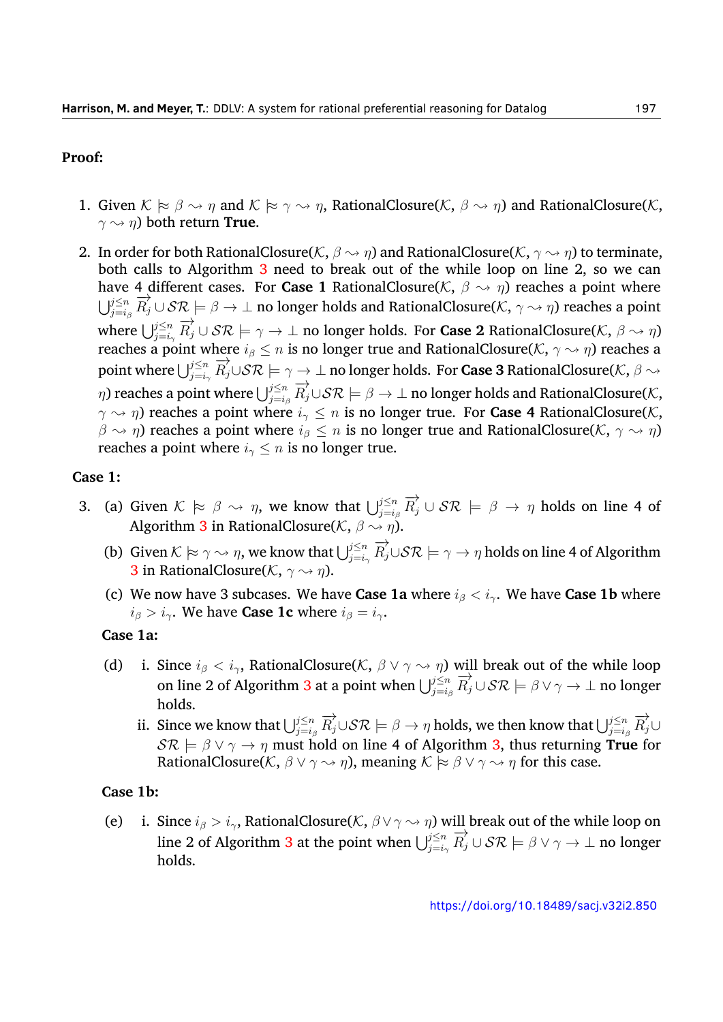#### **Proof:**

- 1. Given  $K \approx \beta \rightarrow \eta$  and  $K \approx \gamma \rightarrow \eta$ , RationalClosure(*K*,  $\beta \rightarrow \eta$ ) and RationalClosure(*K*,  $γ \rightsquigarrow η$ ) both return **True**.
- 2. In order for both RationalClosure( $K$ ,  $\beta \rightsquigarrow \eta$ ) and RationalClosure( $K$ ,  $\gamma \rightsquigarrow \eta$ ) to terminate, both calls to Algorithm [3](#page-8-0) need to break out of the while loop on line 2, so we can have 4 different cases. For **Case 1** RationalClosure( $K$ ,  $\beta \rightarrow \eta$ ) reaches a point where  $\bigcup_{j=i_\beta}^{j\leq n} \overrightarrow{R_j} \cup \mathcal{SR} \models \beta \rightarrow \bot$  no longer holds and RationalClosure( $K$ ,  $\gamma \rightsquigarrow \eta$ ) reaches a point  $\mathbf{v}$ *J* $\sum_{j=i\gamma}^{i-j} E_j^{\gamma} \cup \mathcal{SR} \models \gamma \to \bot$  no longer holds. For **Case 2** RationalClosure(*K*,  $\beta \leadsto \eta$ ) reaches a point where *i<sup>β</sup> ≤ n* is no longer true and RationalClosure(*K*, *γ ❀ η*) reaches a point where  $\bigcup_{j=i_\gamma}^{j\leq n} \overline{R}_j^j \cup \mathcal{SR} \models \gamma \rightarrow \bot$  no longer holds. For **Case 3** RationalClosure(*K*,  $\beta \rightsquigarrow$ *n*) reaches a point where  $\bigcup_{j=i_\beta}^{j\leq n} \overrightarrow{R_j}\cup\mathcal{SR} \models \beta\rightarrow\bot$  no longer holds and RationalClosure( $K$ , *γ ❀ η*) reaches a point where *i<sup>γ</sup> ≤ n* is no longer true. For **Case 4** RationalClosure(*K*, *β*  $\sim$  *η*) reaches a point where *i*<sub>β</sub>  $\leq$  *n* is no longer true and RationalClosure(*K*, *γ*  $\sim$  *η*) reaches a point where  $i<sub>γ</sub> \le n$  is no longer true.

#### **Case 1:**

- 3. (a) Given  $K \approx \beta \sim \eta$ , we know that  $\bigcup_{j=i_\beta}^{j\leq n} \overrightarrow{R_j} \cup \mathcal{SR} \models \beta \to \eta$  holds on line 4 of Algorithm [3](#page-8-0) in RationalClosure( $K$ ,  $\beta \rightsquigarrow \eta$ ).
	- (b) Given  $\mathcal{K} \models \gamma \leadsto \eta$ , we know that  $\bigcup_{j=i_\gamma}^{j\le n} \overrightarrow{R_j}\cup\mathcal{SR} \models \gamma\to \eta$  holds on line 4 of Algorithm [3](#page-8-0) in RationalClosure(*K*, *γ ❀ η*).
	- (c) We now have 3 subcases. We have **Case 1a** where  $i_{\beta} < i_{\gamma}$ . We have **Case 1b** where  $i_{\beta} > i_{\gamma}$ . We have **Case 1c** where  $i_{\beta} = i_{\gamma}$ .

#### **Case 1a:**

- (d) i. Since  $i_{\beta} < i_{\gamma}$ , RationalClosure( $K$ ,  $\beta \vee \gamma \leadsto \eta$ ) will break out of the while loop on line 2 of Algorithm [3](#page-8-0) at a point when  $\bigcup_{j=i_\beta}^{j\leq n} \overline{R}_j^j \cup \mathcal{SR} \models \beta \lor \gamma \to \bot$  no longer holds.
	- ii. Since we know that  $\bigcup_{j=i_\beta}^{j\leq n} \overrightarrow{R_j} \cup \mathcal{SR} \models \beta \to \eta$  holds, we then know that  $\bigcup_{j=i_\beta}^{j\leq n} \overrightarrow{R_j} \cup$  $S\mathcal{R} \models \beta \lor \gamma \rightarrow \eta$  must hold on line 4 of Algorithm [3](#page-8-0), thus returning **True** for RationalClosure( $K$ ,  $\beta \lor \gamma \leadsto \eta$ ), meaning  $K \approx \beta \lor \gamma \leadsto \eta$  for this case.

#### **Case 1b:**

(e) i. Since  $i_{\beta} > i_{\gamma}$ , RationalClosure( $K$ ,  $\beta \vee \gamma \leadsto \eta$ ) will break out of the while loop on line 2 of Algorithm [3](#page-8-0) at the point when  $\bigcup_{j=i_\gamma}^{j\leq n} \overrightarrow{R_j} \cup \mathcal{SR} \models \beta \lor \gamma \to \bot$  no longer holds.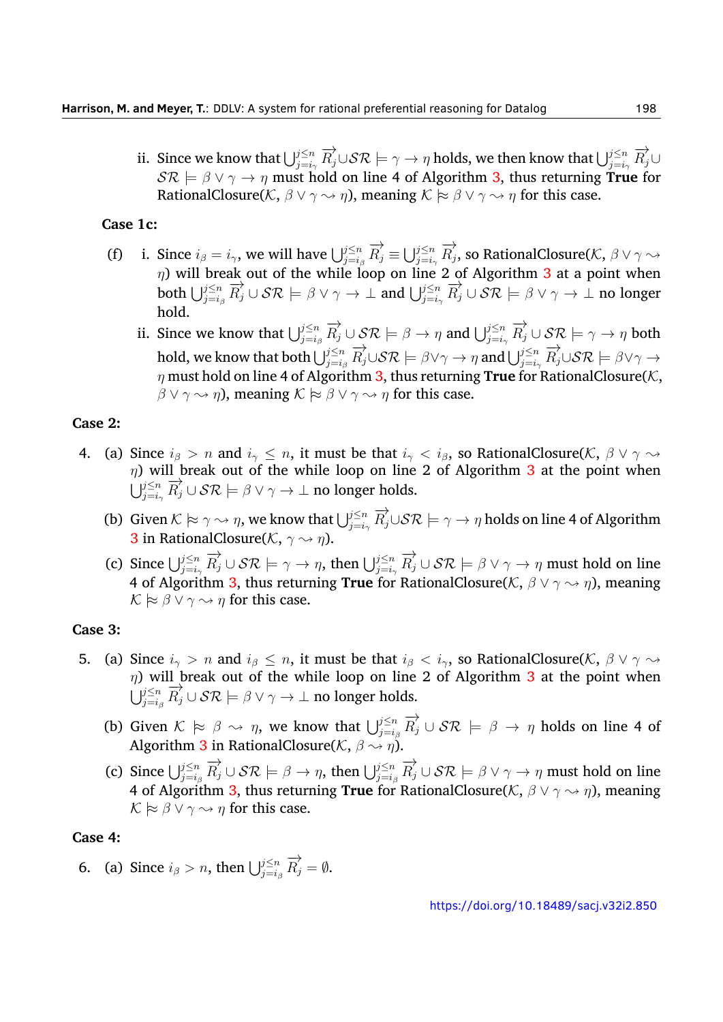ii. Since we know that  $\bigcup_{j=i_\gamma}^{j\le n} \overrightarrow{R_j}\cup\mathcal{SR} \models \gamma\to \eta$  holds, we then know that  $\bigcup_{j=i_\gamma}^{j\le n} \overrightarrow{R_j}\cup\{$  $S\mathcal{R} \models \beta \lor \gamma \rightarrow \eta$  must hold on line 4 of Algorithm [3](#page-8-0), thus returning **True** for RationalClosure( $K$ ,  $\beta \lor \gamma \leadsto \eta$ ), meaning  $K \approx \beta \lor \gamma \leadsto \eta$  for this case.

#### **Case 1c:**

- (f) i. Since  $i_{\beta}=i_{\gamma}$ , we will have  $\bigcup_{j=i_{\beta}}^{j\leq n} \overrightarrow{R}_{j}\equiv \bigcup_{j=i_{\gamma}}^{j\leq n} \overrightarrow{R}_{j}$ , so RationalClosure(K,  $\beta\vee\gamma\leadsto$ *η*) will break out of the while loop on line 2 of Algorithm [3](#page-8-0) at a point when both  $\bigcup_{j=i_\beta}^{j\leq n} \overrightarrow{R_j} \cup \mathcal{SR} \models \beta \vee \gamma \rightarrow \bot$  and  $\bigcup_{j=i_\gamma}^{j\leq n} \overrightarrow{R_j} \cup \mathcal{SR} \models \beta \vee \gamma \rightarrow \bot$  no longer hold.
	- ii. Since we know that  $\bigcup_{j=i_\beta}^{j\leq n} \overrightarrow{R_j} \cup \mathcal{SR} \models \beta \rightarrow \eta$  and  $\bigcup_{j=i_\gamma}^{j\leq n} \overrightarrow{R_j} \cup \mathcal{SR} \models \gamma \rightarrow \eta$  both hold, we know that both  $\bigcup_{j=i_\beta}^{j\leq n} \overrightarrow{R_j} \cup \mathcal{SR} \models \beta \vee \gamma \rightarrow \eta$  and  $\bigcup_{j=i_\gamma}^{j\leq n} \overrightarrow{R_j} \cup \mathcal{SR} \models \beta \vee \gamma \rightarrow$ *η* must hold on line 4 of Algorithm [3,](#page-8-0) thus returning **True** for RationalClosure(*K*, *β*  $\lor$   $\gamma$   $\rightsquigarrow$  *η*), meaning  $K \approx \beta \lor \gamma \rightsquigarrow \eta$  for this case.

#### **Case 2:**

- 4. (a) Since  $i_{\beta} > n$  and  $i_{\gamma} \leq n$ , it must be that  $i_{\gamma} < i_{\beta}$ , so RationalClosure(*K*,  $\beta \vee \gamma \rightarrow$ *η*) will break out of the while loop on line 2 of Algorithm [3](#page-8-0) at the point when  $\bigcup_{j=i_\gamma}^{j\leq n} \overrightarrow{R_j} \cup \mathcal{SR} \models \beta \vee \gamma \rightarrow \bot$  no longer holds.
	- (b) Given  $\mathcal{K} \models \gamma \leadsto \eta$ , we know that  $\bigcup_{j=i_\gamma}^{j\le n} \overrightarrow{R_j}\cup\mathcal{SR} \models \gamma\to \eta$  holds on line 4 of Algorithm **[3](#page-8-0)** in RationalClosure( $K$ ,  $\gamma \rightsquigarrow \eta$ ).
	- (c) Since  $\bigcup_{j=i_\gamma}^{j\leq n} \overrightarrow{R_j} \cup \mathcal{SR} \models \gamma \to \eta$ , then  $\bigcup_{j=i_\gamma}^{j\leq n} \overrightarrow{R_j} \cup \mathcal{SR} \models \beta \vee \gamma \to \eta$  must hold on line 4 of Algorithm [3](#page-8-0), thus returning **True** for RationalClosure(*K*, *β ∨ γ ❀ η*), meaning  $K \approx \beta \vee \gamma \rightarrow \eta$  for this case.

#### **Case 3:**

- 5. (a) Since  $i_\gamma > n$  and  $i_\beta \leq n$ , it must be that  $i_\beta < i_\gamma$ , so RationalClosure(*K*,  $\beta \vee \gamma \leadsto$ *η*) will break out of the while loop on line 2 of Algorithm [3](#page-8-0) at the point when  $\bigcup_{j=i_\beta}^{j\leq n} \overrightarrow{R_j} \cup \mathcal{SR} \models \beta \vee \gamma \rightarrow \bot$  no longer holds.
	- (b) Given  $K \approx \beta \sim \eta$ , we know that  $\bigcup_{j=i_\beta}^{j\leq n} \overrightarrow{R_j} \cup \mathcal{SR} \models \beta \to \eta$  holds on line 4 of Algorithm [3](#page-8-0) in RationalClosure(*K*,  $\beta \rightarrow \eta$ )
	- (c) Since  $\bigcup_{j=i_\beta}^{j\leq n} \overrightarrow{R_j} \cup \mathcal{SR} \models \beta \to \eta$ , then  $\bigcup_{j=i_\beta}^{j\leq n} \overrightarrow{R_j} \cup \mathcal{SR} \models \beta \vee \gamma \to \eta$  must hold on line 4 of Algorithm [3](#page-8-0), thus returning **True** for RationalClosure( $K$ ,  $\beta \lor \gamma \rightarrow \eta$ ), meaning  $K \approx \beta \vee \gamma \rightarrow \eta$  for this case.

#### **Case 4:**

6. (a) Since  $i_{\beta} > n$ , then  $\bigcup_{j=i_{\beta}}^{j \leq n} \overrightarrow{R}_{j} = \emptyset$ .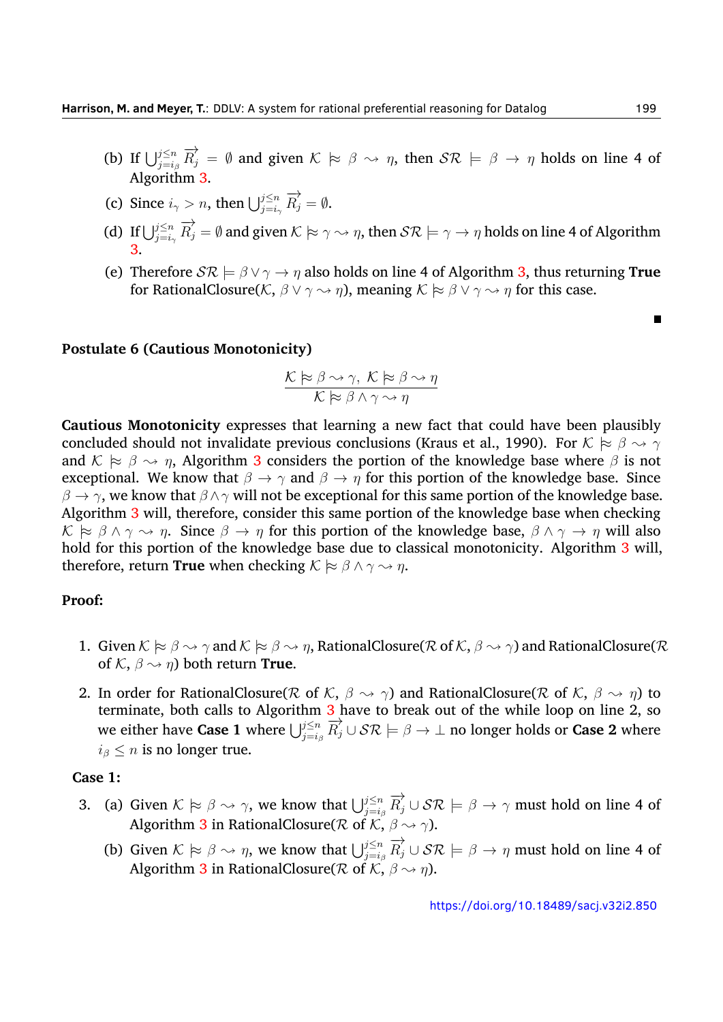- (b) If  $\bigcup_{j=i_\beta}^{j\leq n} \overrightarrow{R_j} = \emptyset$  and given  $K \models \beta \leadsto \eta$ , then  $\mathcal{SR} \models \beta \to \eta$  holds on line 4 of Algorithm [3.](#page-8-0)
- (c) Since  $i_\gamma > n$ , then  $\bigcup_{j=i_\gamma}^{j \leq n} \overrightarrow{R}_j = \emptyset$ .
- (d) If  $\bigcup_{j=i_\gamma}^{j\leq n} \overrightarrow{R_j} = \emptyset$  and given  $K \models \gamma \rightarrow \eta$ , then  $\mathcal{SR} \models \gamma \rightarrow \eta$  holds on line 4 of Algorithm [3.](#page-8-0)
- (e) Therefore  $S\mathcal{R} \models \beta \lor \gamma \rightarrow \eta$  also holds on line 4 of Algorithm [3](#page-8-0), thus returning **True** for RationalClosure( $K$ ,  $\beta \lor \gamma \leadsto \eta$ ), meaning  $K \approx \beta \lor \gamma \leadsto \eta$  for this case.

#### **Postulate 6 (Cautious Monotonicity)**

$$
\frac{\mathcal{K} \approx \beta \rightsquigarrow \gamma, \ \mathcal{K} \approx \beta \rightsquigarrow \eta}{\mathcal{K} \approx \beta \land \gamma \rightsquigarrow \eta}
$$

**Cautious Monotonicity** expresses that learning a new fact that could have been plausibly concluded should not invalidate previous conclusions (Kraus et al., [1990\)](#page-32-5). For  $K \approx \beta \rightarrow \gamma$ and  $K \approx \beta \sim \eta$ , Algorithm [3](#page-8-0) considers the portion of the knowledge base where  $\beta$  is not exceptional. We know that  $\beta \to \gamma$  and  $\beta \to \eta$  for this portion of the knowledge base. Since *β* → *γ*, we know that *β* ∧*γ* will not be exceptional for this same portion of the knowledge base. Algorithm [3](#page-8-0) will, therefore, consider this same portion of the knowledge base when checking  $K \approx \beta \land \gamma \rightarrow \eta$ . Since  $\beta \rightarrow \eta$  for this portion of the knowledge base,  $\beta \land \gamma \rightarrow \eta$  will also hold for this portion of the knowledge base due to classical monotonicity. Algorithm [3](#page-8-0) will, therefore, return **True** when checking  $K \approx \beta \land \gamma \rightarrow \eta$ .

#### **Proof:**

- 1. Given  $K \models \beta \leadsto \gamma$  and  $K \models \beta \leadsto \eta$ , RationalClosure( $\mathcal R$  of  $\mathcal K, \beta \leadsto \gamma$ ) and RationalClosure( $\mathcal R$ of  $K$ ,  $\beta \rightarrow \eta$ ) both return **True**.
- 2. In order for RationalClosure( $R$  of  $K$ ,  $\beta \rightarrow \gamma$ ) and RationalClosure( $R$  of  $K$ ,  $\beta \rightarrow \eta$ ) to terminate, both calls to Algorithm [3](#page-8-0) have to break out of the while loop on line 2, so we either have **Case 1** where  $\bigcup_{j=i_\beta}^{j\leq n} \overline{R}_j^j \cup \mathcal{SR} \models \beta \to \bot$  no longer holds or **Case 2** where  $i<sub>β</sub> < n$  is no longer true.

#### **Case 1:**

- 3. (a) Given  $K \approx \beta \sim \gamma$ , we know that  $\bigcup_{j=i_\beta}^{j\leq n} \overrightarrow{R}_j \cup \mathcal{SR} \models \beta \to \gamma$  must hold on line 4 of Algorithm [3](#page-8-0) in RationalClosure( $R$  of  $K$ ,  $\beta \rightsquigarrow \gamma$ ).
	- (b) Given  $K \approx \beta \sim \eta$ , we know that  $\bigcup_{j=i_\beta}^{j\leq n} \overrightarrow{R}_j \cup \mathcal{SR} \models \beta \to \eta$  must hold on line 4 of Algorithm [3](#page-8-0) in RationalClosure( $R$  of  $K$ ,  $\beta \rightarrow \eta$ ).

 $\blacksquare$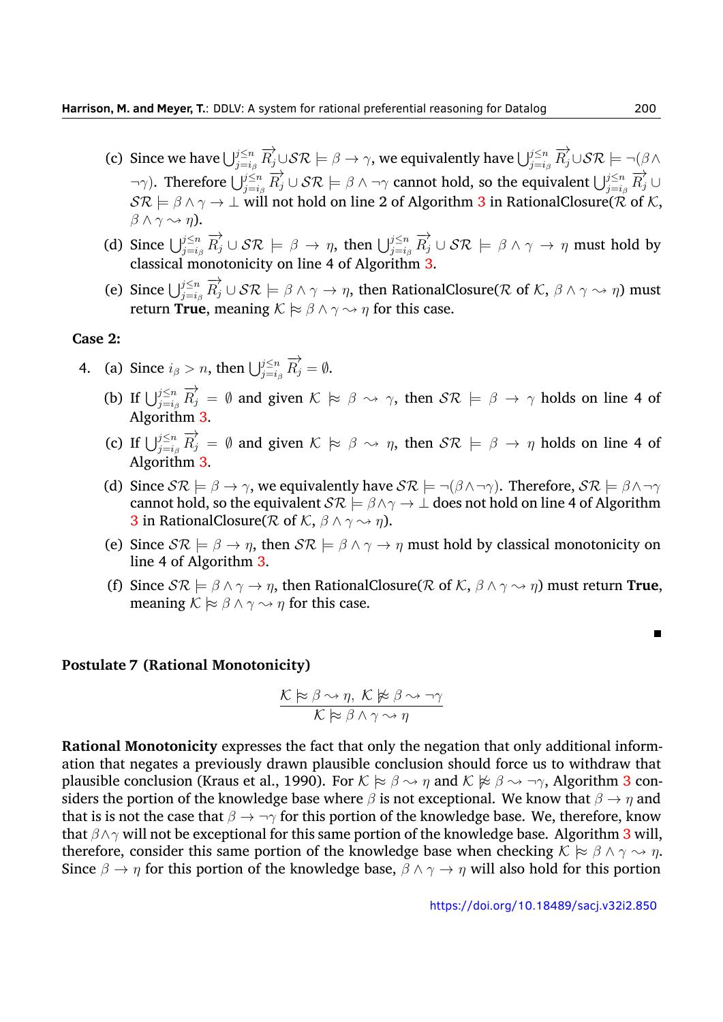- (c) Since we have  $\bigcup_{j=i_\beta}^{j\leq n} \overrightarrow{R_j}\cup\mathcal{SR} \models \beta\to\gamma$ , we equivalently have  $\bigcup_{j=i_\beta}^{j\leq n} \overrightarrow{R_j}\cup\mathcal{SR} \models \neg (\beta\wedge\beta)$  $(\neg \gamma)$ . Therefore  $\bigcup_{j=i_\beta}^{j\leq n} \overrightarrow{R_j} \cup \mathcal{SR} \models \beta \land \neg \gamma$  cannot hold, so the equivalent  $\bigcup_{j=i_\beta}^{j\leq n} \overrightarrow{R_j} \cup$ *SR |*= *β ∧ γ → ⊥* will not hold on line 2 of Algorithm [3](#page-8-0) in RationalClosure(*R* of *K*, *β ∧ γ ❀ η*).
- (d) Since  $\bigcup_{j=i_\beta}^{j\leq n} \overrightarrow{R_j} \cup \mathcal{SR} \models \beta \to \eta$ , then  $\bigcup_{j=i_\beta}^{j\leq n} \overrightarrow{R_j} \cup \mathcal{SR} \models \beta \land \gamma \to \eta$  must hold by classical monotonicity on line 4 of Algorithm [3.](#page-8-0)
- (e) Since  $\bigcup_{j=i_\beta}^{j\leq n} \overrightarrow{R_j}\cup\mathcal{SR} \models \beta \wedge \gamma \to \eta$ , then RationalClosure(R of K,  $\beta \wedge \gamma \leadsto \eta$ ) must return **True**, meaning  $\mathcal{K} \models \beta \land \gamma \leadsto \eta$  for this case.

#### **Case 2:**

- 4. (a) Since  $i_{\beta} > n$ , then  $\bigcup_{j=i_{\beta}}^{j \leq n} \overrightarrow{R_j} = \emptyset$ .
	- (b) If  $\bigcup_{j=i_\beta}^{j\leq n} \overrightarrow{R_j} = \emptyset$  and given  $K \models \beta \leadsto \gamma$ , then  $\mathcal{SR} \models \beta \to \gamma$  holds on line 4 of Algorithm [3.](#page-8-0)
	- (c) If  $\bigcup_{j=i_\beta}^{j\leq n} \overrightarrow{R_j} = \emptyset$  and given  $K \models \beta \leadsto \eta$ , then  $\mathcal{SR} \models \beta \to \eta$  holds on line 4 of Algorithm [3.](#page-8-0)
	- (d) Since  $S\mathcal{R} \models \beta \rightarrow \gamma$ , we equivalently have  $S\mathcal{R} \models \neg(\beta \land \neg \gamma)$ . Therefore,  $S\mathcal{R} \models \beta \land \neg \gamma$ cannot hold, so the equivalent  $\mathcal{SR} \models \beta \land \gamma \rightarrow \bot$  does not hold on line 4 of Algorithm **[3](#page-8-0)** in RationalClosure( $\mathcal{R}$  of  $\mathcal{K}, \beta \wedge \gamma \rightarrow \eta$ ).
	- (e) Since  $S\mathcal{R} \models \beta \rightarrow \eta$ , then  $S\mathcal{R} \models \beta \land \gamma \rightarrow \eta$  must hold by classical monotonicity on line 4 of Algorithm [3.](#page-8-0)
	- (f) Since  $S\mathcal{R} \models \beta \land \gamma \rightarrow \eta$ , then RationalClosure( $\mathcal{R}$  of  $\mathcal{K}, \beta \land \gamma \rightarrow \eta$ ) must return **True**, meaning  $K \approx \beta \wedge \gamma \rightarrow \eta$  for this case.

#### **Postulate 7 (Rational Monotonicity)**

$$
\frac{\mathcal{K} \succcurlyeq \beta \rightsquigarrow \eta, \ \mathcal{K} \not\models \beta \rightsquigarrow \neg \gamma}{\mathcal{K} \succcurlyeq \beta \land \gamma \rightsquigarrow \eta}
$$

**Rational Monotonicity** expresses the fact that only the negation that only additional information that negates a previously drawn plausible conclusion should force us to withdraw that plausible conclusion (Kraus et al., [1990\)](#page-32-5). For  $K \approx \beta \rightarrow \eta$  and  $K \not\approx \beta \rightarrow \neg \gamma$ , Algorithm [3](#page-8-0) considers the portion of the knowledge base where  $\beta$  is not exceptional. We know that  $\beta \to \eta$  and that is is not the case that *β → ¬γ* for this portion of the knowledge base. We, therefore, know that *β∧γ* will not be exceptional for this same portion of the knowledge base. Algorithm [3](#page-8-0) will, therefore, consider this same portion of the knowledge base when checking  $K \approx \beta \wedge \gamma \rightarrow \eta$ . Since  $\beta \to \eta$  for this portion of the knowledge base,  $\beta \wedge \gamma \to \eta$  will also hold for this portion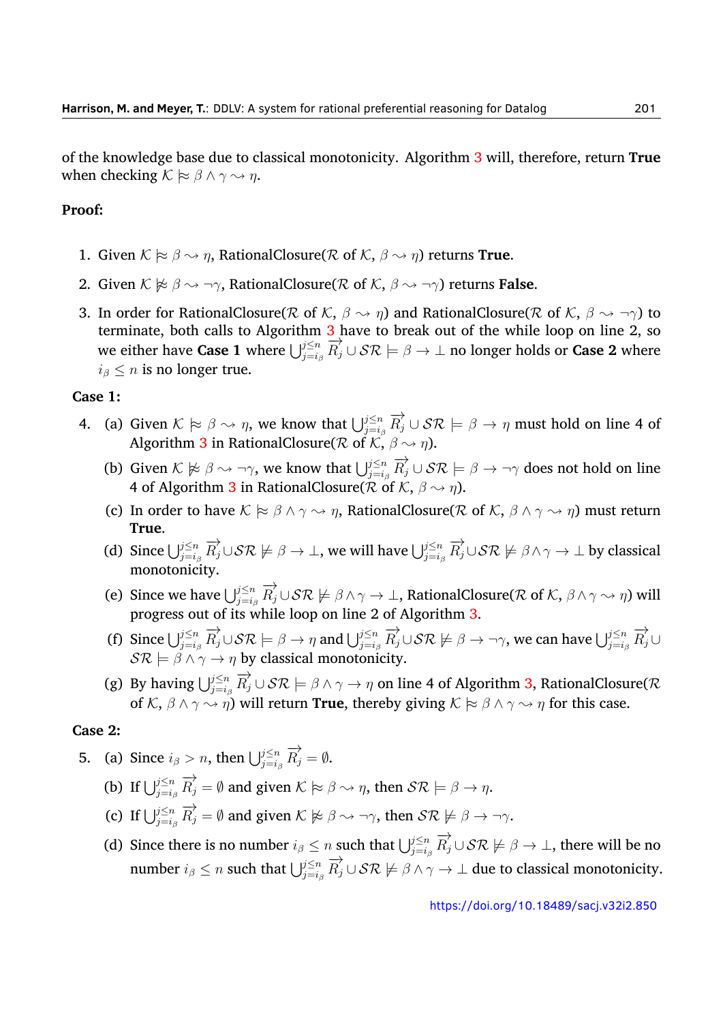of the knowledge base due to classical monotonicity. Algorithm [3](#page-8-0) will, therefore, return **True** when checking  $K \approx \beta \wedge \gamma \rightsquigarrow \eta$ .

## **Proof:**

- 1. Given  $K \approx \beta \sim \eta$ , RationalClosure( $R$  of  $K$ ,  $\beta \sim \eta$ ) returns **True**.
- 2. Given  $K \not\models \beta \leadsto \neg \gamma$ , RationalClosure( $R$  of  $K$ ,  $\beta \leadsto \neg \gamma$ ) returns **False**.
- 3. In order for RationalClosure( $R$  of  $K$ ,  $\beta \rightarrow \eta$ ) and RationalClosure( $R$  of  $K$ ,  $\beta \rightarrow \eta$ ) to terminate, both calls to Algorithm [3](#page-8-0) have to break out of the while loop on line 2, so we either have **Case 1** where  $\bigcup_{j=i_\beta}^{j\leq n} \overline{R}_j^j \cup \mathcal{SR} \models \beta \to \bot$  no longer holds or **Case 2** where  $i<sub>β</sub> \leq n$  is no longer true.

#### **Case 1:**

- 4. (a) Given  $K \approx \beta \sim \eta$ , we know that  $\bigcup_{j=i_\beta}^{j\leq n} \overrightarrow{R}_j \cup \mathcal{SR} \models \beta \to \eta$  must hold on line 4 of Algorithm [3](#page-8-0) in RationalClosure( $R$  of  $K$ ,  $\beta \rightsquigarrow \eta$ ).
	- (b) Given  $K \not\models \beta \leadsto \neg \gamma$ , we know that  $\bigcup_{j=i_\beta}^{j \le n} \overrightarrow{R_j} \cup \mathcal{SR} \models \beta \to \neg \gamma$  does not hold on line 4 of Algorithm [3](#page-8-0) in RationalClosure( $\overline{\mathcal{R}}$  of  $\overline{\mathcal{K}}$ ,  $\beta \rightsquigarrow n$ ).
	- (c) In order to have  $K \approx \beta \land \gamma \rightarrow \eta$ , RationalClosure( $R$  of  $K$ ,  $\beta \land \gamma \rightarrow \eta$ ) must return **True**.
	- (d) Since  $\bigcup_{j=i_\beta}^{j\leq n} \overrightarrow{R_j}\cup\mathcal{SR} \nvDash \beta \to \bot$ , we will have  $\bigcup_{j=i_\beta}^{j\leq n} \overrightarrow{R_j}\cup\mathcal{SR} \nvDash \beta \land \gamma \to \bot$  by classical monotonicity.
	- (e) Since we have  $\bigcup_{j=i_\beta}^{j\le n}\overrightarrow{R_j}\cup\mathcal{SR}\not\models\beta\wedge\gamma\to\bot,$  RationalClosure( $\mathcal R$  of  $\mathcal K,\,\beta\wedge\gamma\leadsto\eta)$  will progress out of its while loop on line 2 of Algorithm [3](#page-8-0).
	- (f) Since  $\bigcup_{j=i_\beta}^{j\leq n} \overrightarrow{R_j} \cup \mathcal{SR} \models \beta \to \eta$  and  $\bigcup_{j=i_\beta}^{j\leq n} \overrightarrow{R_j} \cup \mathcal{SR} \not\models \beta \to \neg \gamma$ , we can have  $\bigcup_{j=i_\beta}^{j\leq n} \overrightarrow{R_j} \cup$  $\mathcal{SR} \models \beta \land \gamma \rightarrow \eta$  by classical monotonicity.
	- $f(g)$  By having  $\bigcup_{j=i_\beta}^{j\leq n} \overrightarrow{R_j}\cup\mathcal{SR} \models \beta\wedge\gamma\to\eta$  on line 4 of Algorithm [3,](#page-8-0) RationalClosure( $\mathcal R$ of  $K$ ,  $\beta \land \gamma \leadsto \eta$ ) will return **True**, thereby giving  $K \approx \beta \land \gamma \leadsto \eta$  for this case.

#### **Case 2:**

- 5. (a) Since  $i_{\beta} > n$ , then  $\bigcup_{j=i_{\beta}}^{j \leq n} \overrightarrow{R_j} = \emptyset$ .
	- (b) If  $\bigcup_{j=i_\beta}^{j\leq n} \overrightarrow{R_j} = \emptyset$  and given  $K \models \beta \rightarrow \eta$ , then  $\mathcal{SR} \models \beta \rightarrow \eta$ .
	- (c) If  $\bigcup_{j=i_\beta}^{j\leq n} \overrightarrow{R_j} = \emptyset$  and given  $K \not\models \beta \rightarrow \neg \gamma$ , then  $\mathcal{SR} \not\models \beta \rightarrow \neg \gamma$ .
	- (d) Since there is no number  $i_{\beta} \leq n$  such that  $\bigcup_{j=i_{\beta}}^{j\leq n} \overrightarrow{R_j} \cup \mathcal{SR} \not\models \beta \to \bot$ , there will be no  $\lim_{\beta \to 0} \int_{\beta}^{R} \frac{1}{\beta} \int_{\beta}^{R} \frac{1}{\beta} \int_{\beta}^{R} \frac{1}{\beta} \int_{\beta}^{R} \frac{1}{\beta} \int_{\gamma}^{R} \frac{1}{\beta} \int_{\gamma}^{R} \frac{1}{\beta} \int_{\gamma}^{R} \frac{1}{\beta} \int_{\gamma}^{R} \frac{1}{\beta} \int_{\gamma}^{R} \frac{1}{\beta} \int_{\gamma}^{R} \frac{1}{\beta} \int_{\gamma}^{R} \frac{1}{\beta} \int_{\gamma}^{R} \frac{1}{\beta} \int_{\gamma}$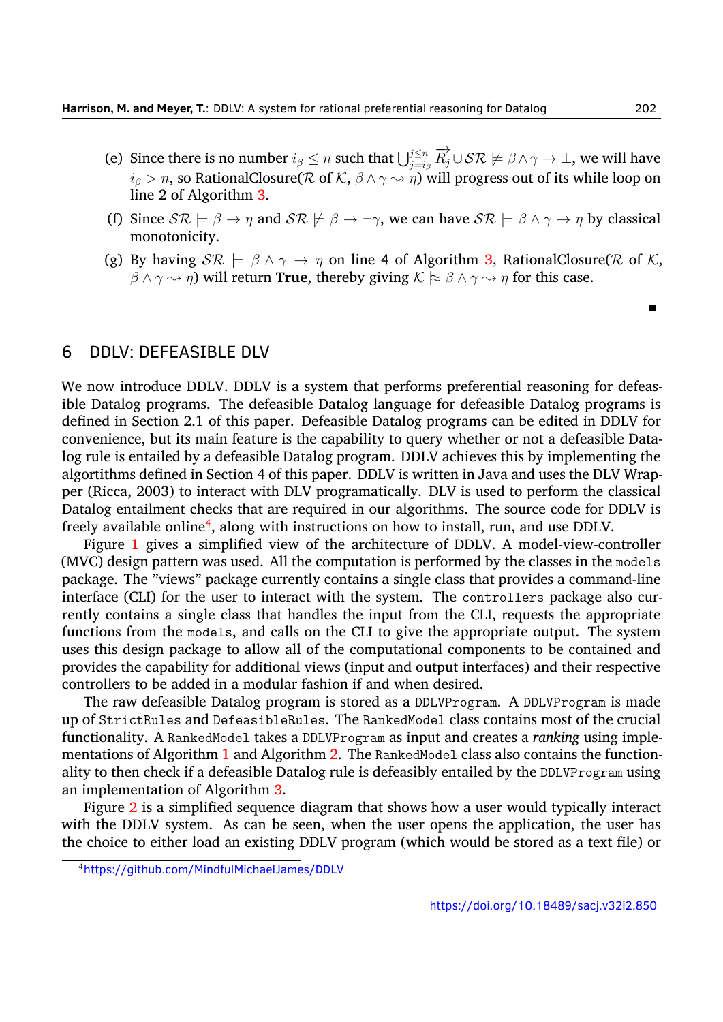- (e) Since there is no number  $i_\beta \le n$  such that  $\bigcup_{j=i_\beta}^{j\le n} \overrightarrow{R_j}\cup\mathcal{SR} \not\models \beta\wedge\gamma\to\bot$ , we will have  $i$ <sup>*β*</sup>  $> n$ , so RationalClosure(*R* of *K*,  $\beta \land \gamma \rightarrow \eta$ ) will progress out of its while loop on line 2 of Algorithm [3.](#page-8-0)
- (f) Since  $S\mathcal{R} \models \beta \rightarrow \eta$  and  $S\mathcal{R} \not\models \beta \rightarrow \neg \gamma$ , we can have  $S\mathcal{R} \models \beta \land \gamma \rightarrow \eta$  by classical monotonicity.
- (g) By having  $S\mathcal{R} \models \beta \land \gamma \rightarrow \eta$  on line 4 of Algorithm [3,](#page-8-0) RationalClosure( $\mathcal{R}$  of  $\mathcal{K}$ ,  $\beta \land \gamma \leadsto \eta$ ) will return **True**, thereby giving  $\mathcal{K} \approx \beta \land \gamma \leadsto \eta$  for this case.

## 6 DDLV: DEFEASIBLE DLV

We now introduce DDLV. DDLV is a system that performs preferential reasoning for defeasible Datalog programs. The defeasible Datalog language for defeasible Datalog programs is defined in Section 2.1 of this paper. Defeasible Datalog programs can be edited in DDLV for convenience, but its main feature is the capability to query whether or not a defeasible Datalog rule is entailed by a defeasible Datalog program. DDLV achieves this by implementing the algortithms defined in Section 4 of this paper. DDLV is written in Java and uses the DLV Wrapper (Ricca, [2003](#page-33-3)) to interact with DLV programatically. DLV is used to perform the classical Datalog entailment checks that are required in our algorithms. The source code for DDLV is freely available online<sup>[4](#page-18-0)</sup>, along with instructions on how to install, run, and use DDLV.

Figure [1](#page-19-0) gives a simplified view of the architecture of DDLV. A model-view-controller (MVC) design pattern was used. All the computation is performed by the classes in the models package. The "views" package currently contains a single class that provides a command-line interface (CLI) for the user to interact with the system. The controllers package also currently contains a single class that handles the input from the CLI, requests the appropriate functions from the models, and calls on the CLI to give the appropriate output. The system uses this design package to allow all of the computational components to be contained and provides the capability for additional views (input and output interfaces) and their respective controllers to be added in a modular fashion if and when desired.

The raw defeasible Datalog program is stored as a DDLVProgram. A DDLVProgram is made up of StrictRules and DefeasibleRules. The RankedModel class contains most of the crucial functionality. A RankedModel takes a DDLVProgram as input and creates a *ranking* using imple-mentations of Algorithm [1](#page-6-0) and Algorithm [2.](#page-7-0) The RankedModel class also contains the functionality to then check if a defeasible Datalog rule is defeasibly entailed by the DDLVProgram using an implementation of Algorithm [3.](#page-8-0)

Figure [2](#page-21-0) is a simplified sequence diagram that shows how a user would typically interact with the DDLV system. As can be seen, when the user opens the application, the user has the choice to either load an existing DDLV program (which would be stored as a text file) or

 $\blacksquare$ 

<span id="page-18-0"></span><sup>4</sup><https://github.com/MindfulMichaelJames/DDLV>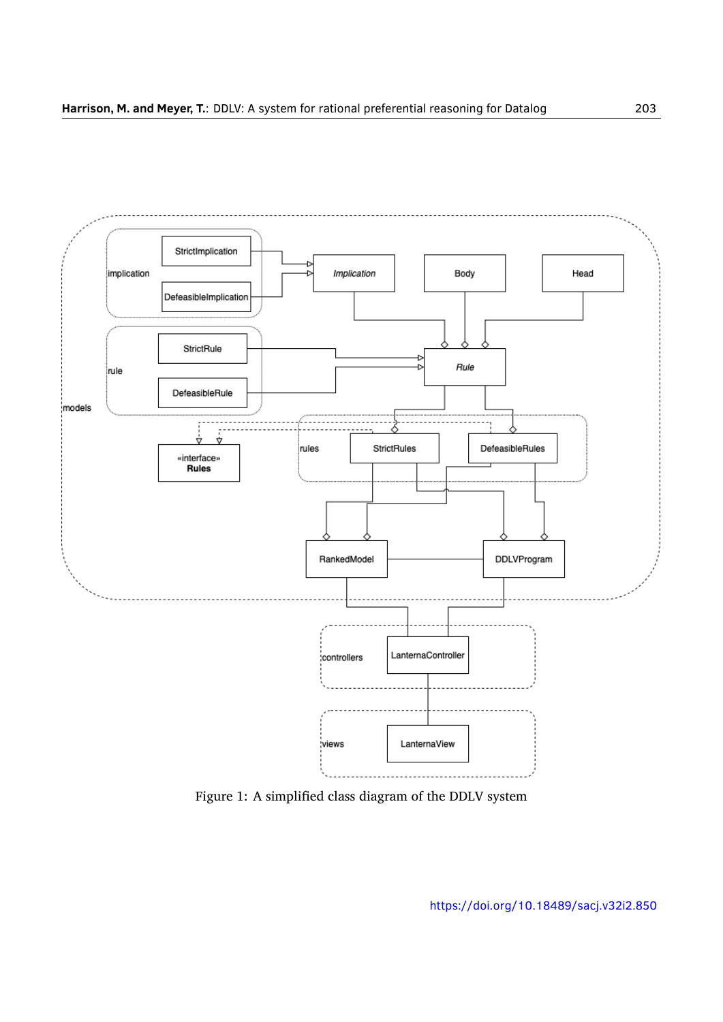<span id="page-19-0"></span>

Figure 1: A simplified class diagram of the DDLV system

<https://doi.org/10.18489/sacj.v32i2.850>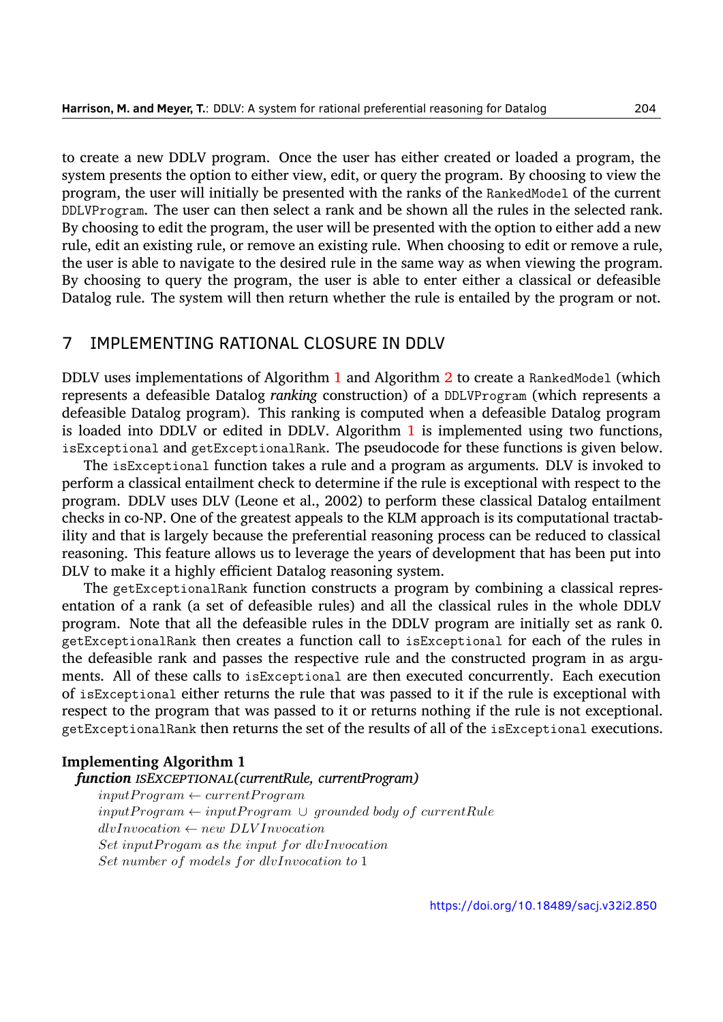to create a new DDLV program. Once the user has either created or loaded a program, the system presents the option to either view, edit, or query the program. By choosing to view the program, the user will initially be presented with the ranks of the RankedModel of the current DDLVProgram. The user can then select a rank and be shown all the rules in the selected rank. By choosing to edit the program, the user will be presented with the option to either add a new rule, edit an existing rule, or remove an existing rule. When choosing to edit or remove a rule, the user is able to navigate to the desired rule in the same way as when viewing the program. By choosing to query the program, the user is able to enter either a classical or defeasible Datalog rule. The system will then return whether the rule is entailed by the program or not.

## 7 IMPLEMENTING RATIONAL CLOSURE IN DDLV

DDLV uses implementations of Algorithm [1](#page-6-0) and Algorithm [2](#page-7-0) to create a RankedModel (which represents a defeasible Datalog *ranking* construction) of a DDLVProgram (which represents a defeasible Datalog program). This ranking is computed when a defeasible Datalog program is loaded into DDLV or edited in DDLV. Algorithm [1](#page-6-0) is implemented using two functions, isExceptional and getExceptionalRank. The pseudocode for these functions is given below.

The isExceptional function takes a rule and a program as arguments. DLV is invoked to perform a classical entailment check to determine if the rule is exceptional with respect to the program. DDLV uses DLV (Leone et al., [2002](#page-32-2)) to perform these classical Datalog entailment checks in co-NP. One of the greatest appeals to the KLM approach is its computational tractability and that is largely because the preferential reasoning process can be reduced to classical reasoning. This feature allows us to leverage the years of development that has been put into DLV to make it a highly efficient Datalog reasoning system.

The getExceptionalRank function constructs a program by combining a classical representation of a rank (a set of defeasible rules) and all the classical rules in the whole DDLV program. Note that all the defeasible rules in the DDLV program are initially set as rank 0. getExceptionalRank then creates a function call to isExceptional for each of the rules in the defeasible rank and passes the respective rule and the constructed program in as arguments. All of these calls to isExceptional are then executed concurrently. Each execution of isExceptional either returns the rule that was passed to it if the rule is exceptional with respect to the program that was passed to it or returns nothing if the rule is not exceptional. getExceptionalRank then returns the set of the results of all of the isExceptional executions.

#### **Implementing Algorithm 1**

#### *function ISEXCEPTIONAL(currentRule, currentProgram)*

*inputP rogram ← currentP rogram inputP rogram ← inputP rogram ∪ grounded body of currentRule dlvInvocation ← new DLV Invocation Set inputP rogam as the input for dlvInvocation Set number of models for dlvInvocation to* 1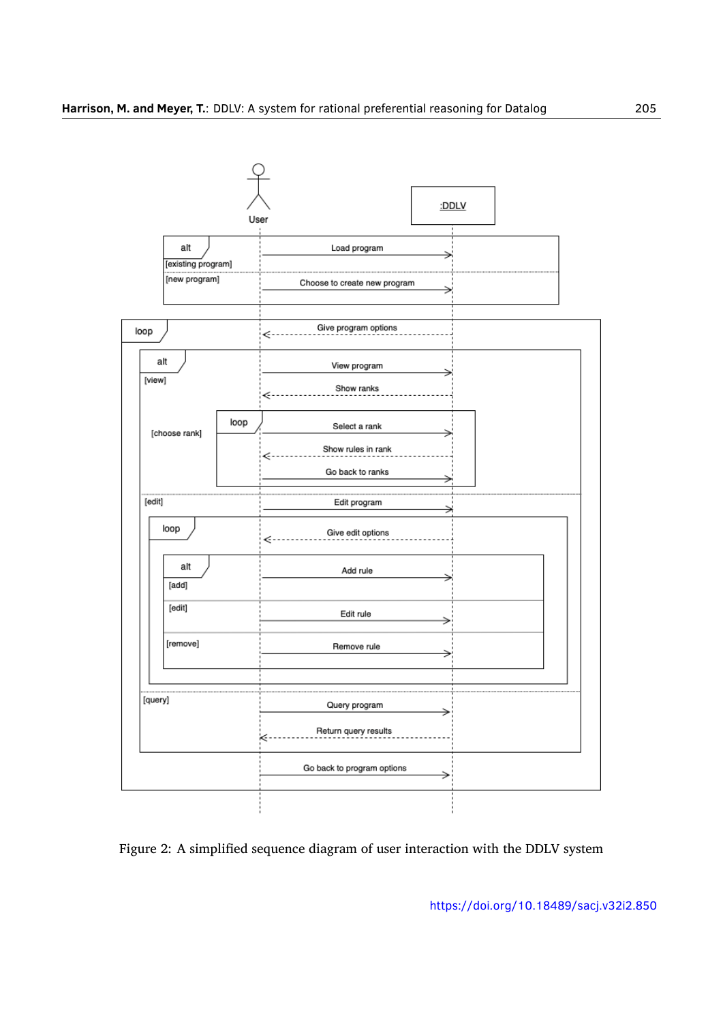<span id="page-21-0"></span>

Figure 2: A simplified sequence diagram of user interaction with the DDLV system

<https://doi.org/10.18489/sacj.v32i2.850>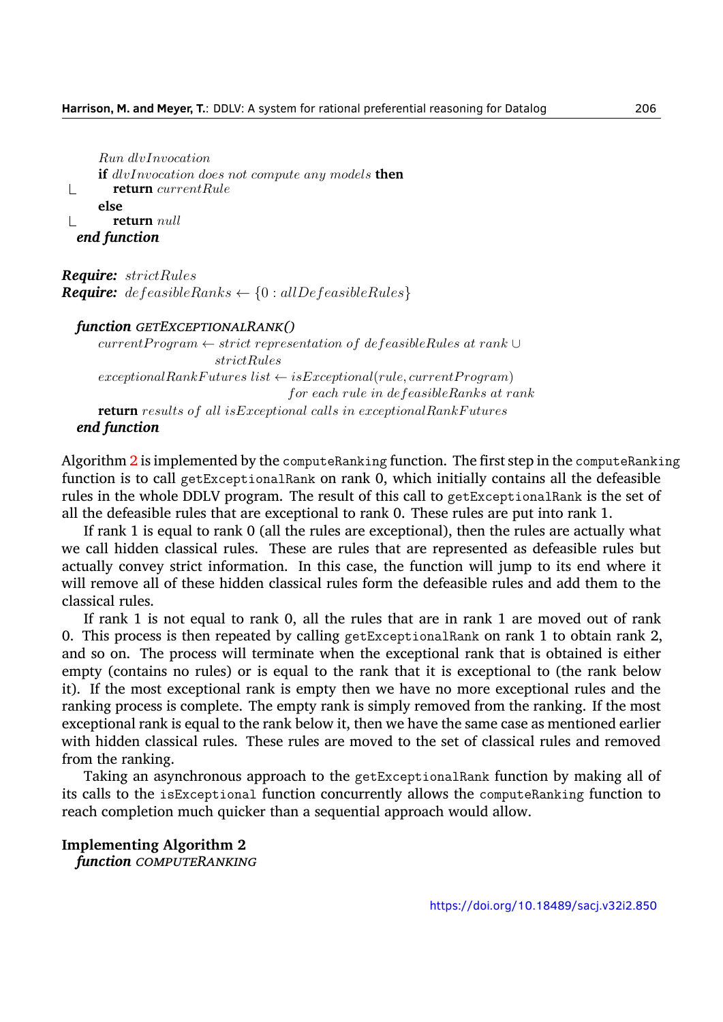*Run dlvInvocation* **if** *dlvInvocation does not compute any models* **then**  $\mathbb{R}$ **return** *currentRule* **else return** *null*  $\mathbb{R}$ *end function*

*Require: strictRules Require: defeasibleRanks ← {*0 : *allDefeasibleRules}*

#### *function GETEXCEPTIONALRANK()*

*currentP rogram ← strict representation of defeasibleRules at rank ∪ strictRules*  $exceptionalRankFutures list \leftarrow isExceptional(rule, currentProgram)$ *for each rule in defeasibleRanks at rank* **return** *results of all isExceptional calls in exceptionalRankF utures end function*

Algorithm [2](#page-7-0) is implemented by the computeRanking function. The first step in the computeRanking function is to call getExceptionalRank on rank 0, which initially contains all the defeasible rules in the whole DDLV program. The result of this call to getExceptionalRank is the set of all the defeasible rules that are exceptional to rank 0. These rules are put into rank 1.

If rank 1 is equal to rank 0 (all the rules are exceptional), then the rules are actually what we call hidden classical rules. These are rules that are represented as defeasible rules but actually convey strict information. In this case, the function will jump to its end where it will remove all of these hidden classical rules form the defeasible rules and add them to the classical rules.

If rank 1 is not equal to rank 0, all the rules that are in rank 1 are moved out of rank 0. This process is then repeated by calling getExceptionalRank on rank 1 to obtain rank 2, and so on. The process will terminate when the exceptional rank that is obtained is either empty (contains no rules) or is equal to the rank that it is exceptional to (the rank below it). If the most exceptional rank is empty then we have no more exceptional rules and the ranking process is complete. The empty rank is simply removed from the ranking. If the most exceptional rank is equal to the rank below it, then we have the same case as mentioned earlier with hidden classical rules. These rules are moved to the set of classical rules and removed from the ranking.

Taking an asynchronous approach to the getExceptionalRank function by making all of its calls to the isExceptional function concurrently allows the computeRanking function to reach completion much quicker than a sequential approach would allow.

**Implementing Algorithm 2** *function COMPUTERANKING*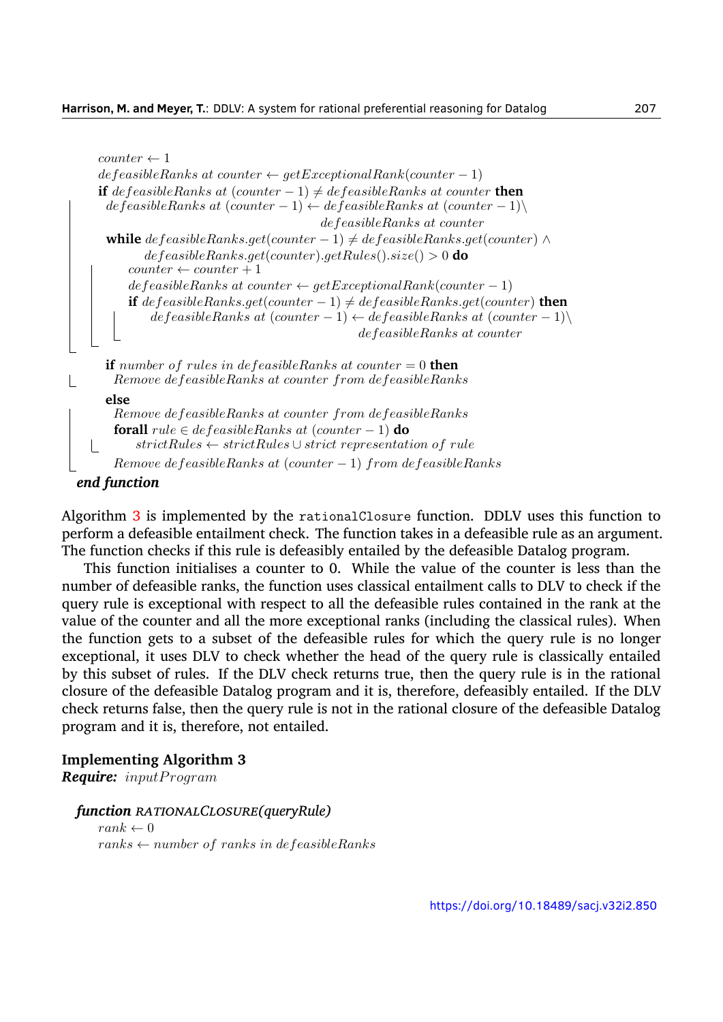```
counter \leftarrow 1def easibleRanks at counter \leftarrow getExceptionalRank(counter-1)if defeasibleRanks at (counter-1) \neq defeasibleRanks at counter then
     defeasibleRanks at (counter-1) \leftarrow defeasibleRanks at (counter-1) \leftarrowdefeasibleRanks at counter
     while defeasibleRanks.get(counter-1) ≠ defeasibleRanks.get(counter) ∧defeasibleRanks.get(counter).getRules().size() > 0 do
        counter \leftarrow counter + 1defeasibleRanks at counter \leftarrow getExceptionalRank(counter-1)if defeasibleRanks.get(counter-1) \neq defeasibleRanks.get(counter) then
            def easibleRanks at (counter-1) \leftarrow def easibleRanks at (counter-1) \setminusdefeasibleRanks at counter
    if number of rules in defeasibleRanks at counter = 0 then
      Remove defeasibleRanks at counter from defeasibleRanks
    else
      Remove defeasibleRanks at counter from defeasibleRanks
      forall rule \in define a stableRanks at (counter - 1) do
  \mathbb{R}strictRules ← strictRules ∪ strict representation of rule
      Remove defeasibleRanks at (counter − 1) from defeasibleRanks
end function
```
Algorithm [3](#page-8-0) is implemented by the rationalClosure function. DDLV uses this function to perform a defeasible entailment check. The function takes in a defeasible rule as an argument. The function checks if this rule is defeasibly entailed by the defeasible Datalog program.

This function initialises a counter to 0. While the value of the counter is less than the number of defeasible ranks, the function uses classical entailment calls to DLV to check if the query rule is exceptional with respect to all the defeasible rules contained in the rank at the value of the counter and all the more exceptional ranks (including the classical rules). When the function gets to a subset of the defeasible rules for which the query rule is no longer exceptional, it uses DLV to check whether the head of the query rule is classically entailed by this subset of rules. If the DLV check returns true, then the query rule is in the rational closure of the defeasible Datalog program and it is, therefore, defeasibly entailed. If the DLV check returns false, then the query rule is not in the rational closure of the defeasible Datalog program and it is, therefore, not entailed.

#### **Implementing Algorithm 3**

*Require: inputP rogram*

```
function RATIONALCLOSURE(queryRule)
```
 $rank \leftarrow 0$ *ranks ← number of ranks in defeasibleRanks*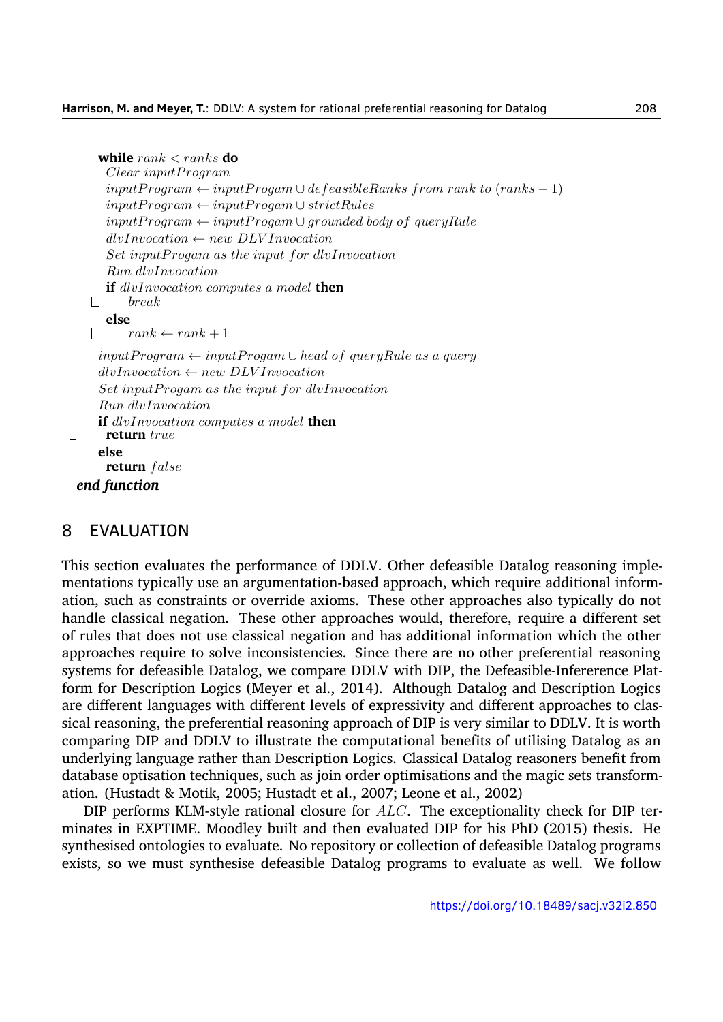```
while rank < ranks do
  Clear inputP rogram
  inputProgram \leftarrow inputProgram \cup defineRanks from rank to (ranks - 1)inputProgram \leftarrow inputProgram \cup strictRulesinputProgram \leftarrow inputProgram \cup grounded body of queryRuledlvInvocation ← new DLV Invocation
  Set inputP rogam as the input for dlvInvocation
  Run dlvInvocation
  if dlvInvocation computes a model then
\mathbf{L}break
  else
      rank \leftarrow rank + 1\mathbb{R}inputP rogram ← inputP rogam ∪ head of queryRule as a query
 dlvInvocation ← new DLV Invocation
 Set inputP rogam as the input for dlvInvocation
 Run dlvInvocation
 if dlvInvocation computes a model then
  return true
 else
  return f alse
```
#### *end function*

 $\mathbb{L}$ 

 $\mathbb{R}$ 

## 8 EVALUATION

This section evaluates the performance of DDLV. Other defeasible Datalog reasoning implementations typically use an argumentation-based approach, which require additional information, such as constraints or override axioms. These other approaches also typically do not handle classical negation. These other approaches would, therefore, require a different set of rules that does not use classical negation and has additional information which the other approaches require to solve inconsistencies. Since there are no other preferential reasoning systems for defeasible Datalog, we compare DDLV with DIP, the Defeasible-Infererence Platform for Description Logics (Meyer et al., [2014\)](#page-32-10). Although Datalog and Description Logics are different languages with different levels of expressivity and different approaches to classical reasoning, the preferential reasoning approach of DIP is very similar to DDLV. It is worth comparing DIP and DDLV to illustrate the computational benefits of utilising Datalog as an underlying language rather than Description Logics. Classical Datalog reasoners benefit from database optisation techniques, such as join order optimisations and the magic sets transformation. (Hustadt & Motik, [2005](#page-32-11); Hustadt et al., [2007](#page-32-12); Leone et al., [2002\)](#page-32-2)

DIP performs KLM-style rational closure for *ALC*. The exceptionality check for DIP terminates in EXPTIME. Moodley built and then evaluated DIP for his PhD [\(2015](#page-32-7)) thesis. He synthesised ontologies to evaluate. No repository or collection of defeasible Datalog programs exists, so we must synthesise defeasible Datalog programs to evaluate as well. We follow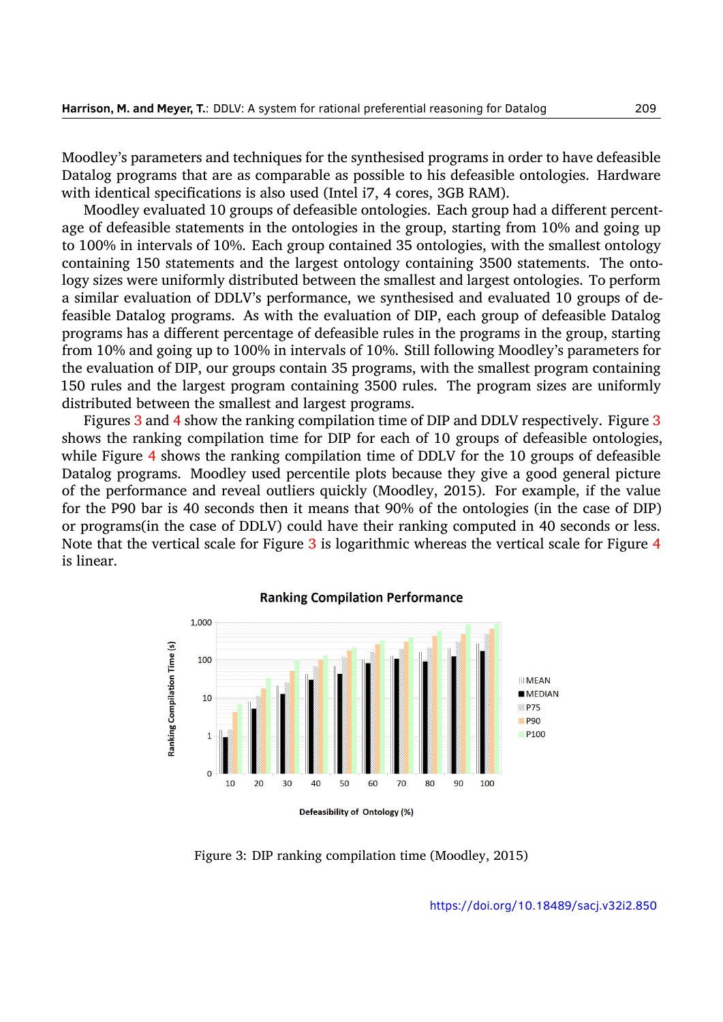Moodley's parameters and techniques for the synthesised programs in order to have defeasible Datalog programs that are as comparable as possible to his defeasible ontologies. Hardware with identical specifications is also used (Intel i7, 4 cores, 3GB RAM).

Moodley evaluated 10 groups of defeasible ontologies. Each group had a different percentage of defeasible statements in the ontologies in the group, starting from 10% and going up to 100% in intervals of 10%. Each group contained 35 ontologies, with the smallest ontology containing 150 statements and the largest ontology containing 3500 statements. The ontology sizes were uniformly distributed between the smallest and largest ontologies. To perform a similar evaluation of DDLV's performance, we synthesised and evaluated 10 groups of defeasible Datalog programs. As with the evaluation of DIP, each group of defeasible Datalog programs has a different percentage of defeasible rules in the programs in the group, starting from 10% and going up to 100% in intervals of 10%. Still following Moodley's parameters for the evaluation of DIP, our groups contain 35 programs, with the smallest program containing 150 rules and the largest program containing 3500 rules. The program sizes are uniformly distributed between the smallest and largest programs.

Figures [3](#page-25-0) and [4](#page-26-0) show the ranking compilation time of DIP and DDLV respectively. Figure [3](#page-25-0) shows the ranking compilation time for DIP for each of 10 groups of defeasible ontologies, while Figure [4](#page-26-0) shows the ranking compilation time of DDLV for the 10 groups of defeasible Datalog programs. Moodley used percentile plots because they give a good general picture of the performance and reveal outliers quickly (Moodley, [2015](#page-32-7)). For example, if the value for the P90 bar is 40 seconds then it means that 90% of the ontologies (in the case of DIP) or programs(in the case of DDLV) could have their ranking computed in 40 seconds or less. Note that the vertical scale for Figure [3](#page-25-0) is logarithmic whereas the vertical scale for Figure [4](#page-26-0) is linear.

<span id="page-25-0"></span>

**Ranking Compilation Performance** 

Figure 3: DIP ranking compilation time (Moodley, [2015](#page-32-7))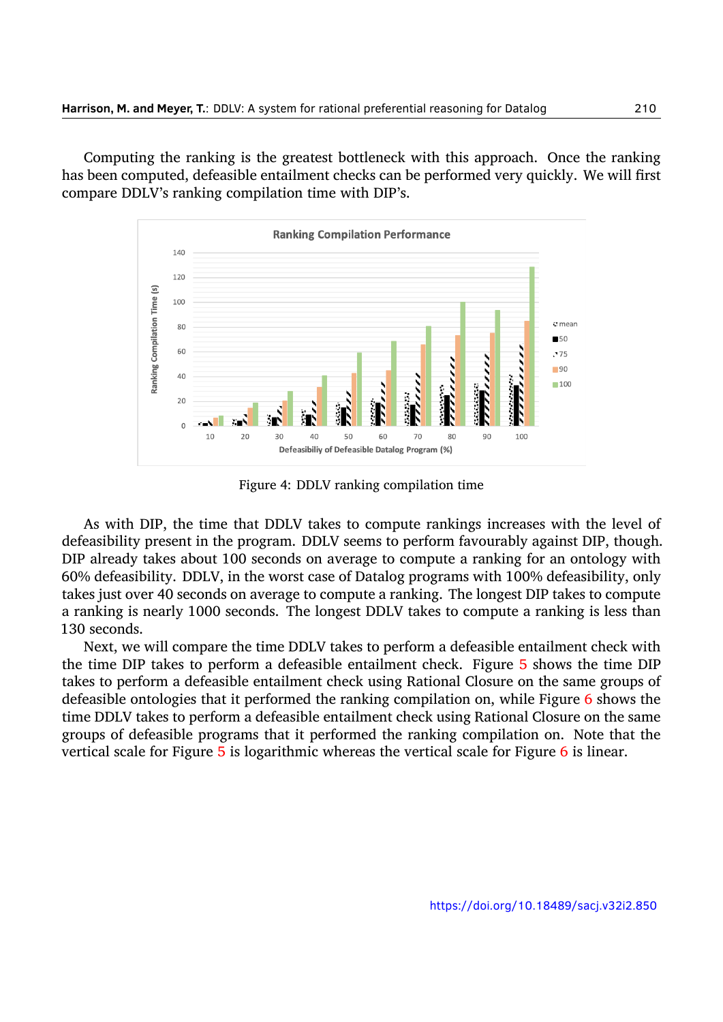<span id="page-26-0"></span>Computing the ranking is the greatest bottleneck with this approach. Once the ranking has been computed, defeasible entailment checks can be performed very quickly. We will first compare DDLV's ranking compilation time with DIP's.



Figure 4: DDLV ranking compilation time

As with DIP, the time that DDLV takes to compute rankings increases with the level of defeasibility present in the program. DDLV seems to perform favourably against DIP, though. DIP already takes about 100 seconds on average to compute a ranking for an ontology with 60% defeasibility. DDLV, in the worst case of Datalog programs with 100% defeasibility, only takes just over 40 seconds on average to compute a ranking. The longest DIP takes to compute a ranking is nearly 1000 seconds. The longest DDLV takes to compute a ranking is less than 130 seconds.

Next, we will compare the time DDLV takes to perform a defeasible entailment check with the time DIP takes to perform a defeasible entailment check. Figure [5](#page-27-0) shows the time DIP takes to perform a defeasible entailment check using Rational Closure on the same groups of defeasible ontologies that it performed the ranking compilation on, while Figure [6](#page-27-1) shows the time DDLV takes to perform a defeasible entailment check using Rational Closure on the same groups of defeasible programs that it performed the ranking compilation on. Note that the vertical scale for Figure [5](#page-27-0) is logarithmic whereas the vertical scale for Figure [6](#page-27-1) is linear.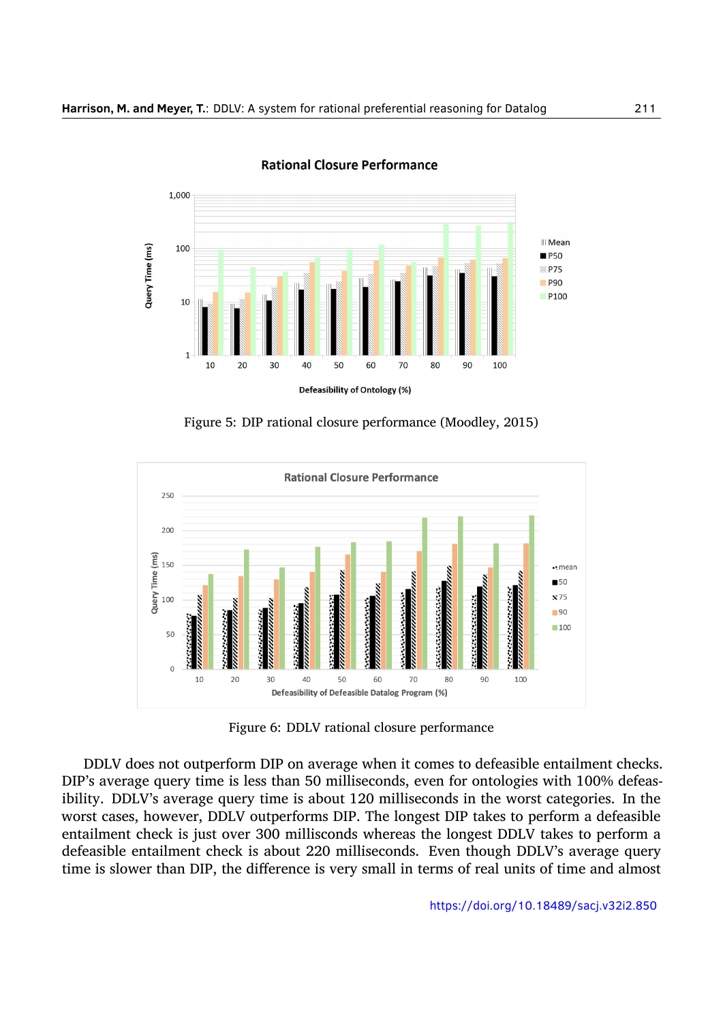<span id="page-27-0"></span>

**Rational Closure Performance** 

Figure 5: DIP rational closure performance (Moodley, [2015](#page-32-7))

<span id="page-27-1"></span>

Figure 6: DDLV rational closure performance

DDLV does not outperform DIP on average when it comes to defeasible entailment checks. DIP's average query time is less than 50 milliseconds, even for ontologies with 100% defeasibility. DDLV's average query time is about 120 milliseconds in the worst categories. In the worst cases, however, DDLV outperforms DIP. The longest DIP takes to perform a defeasible entailment check is just over 300 millisconds whereas the longest DDLV takes to perform a defeasible entailment check is about 220 milliseconds. Even though DDLV's average query time is slower than DIP, the difference is very small in terms of real units of time and almost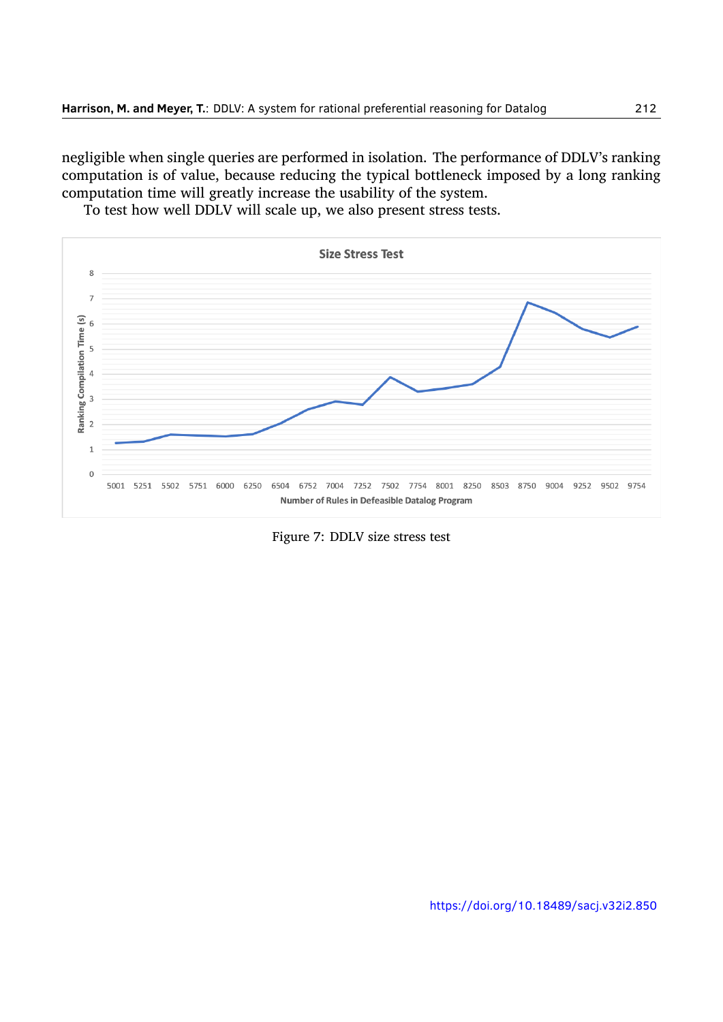negligible when single queries are performed in isolation. The performance of DDLV's ranking computation is of value, because reducing the typical bottleneck imposed by a long ranking computation time will greatly increase the usability of the system.

To test how well DDLV will scale up, we also present stress tests.

<span id="page-28-0"></span>

Figure 7: DDLV size stress test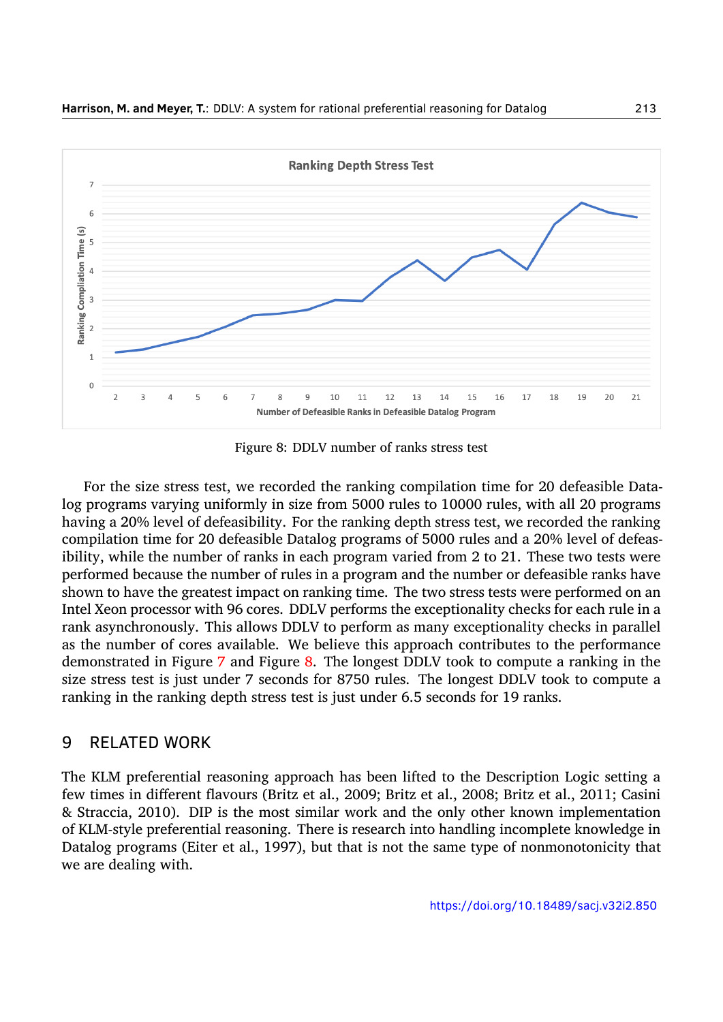<span id="page-29-0"></span>

Figure 8: DDLV number of ranks stress test

For the size stress test, we recorded the ranking compilation time for 20 defeasible Datalog programs varying uniformly in size from 5000 rules to 10000 rules, with all 20 programs having a 20% level of defeasibility. For the ranking depth stress test, we recorded the ranking compilation time for 20 defeasible Datalog programs of 5000 rules and a 20% level of defeasibility, while the number of ranks in each program varied from 2 to 21. These two tests were performed because the number of rules in a program and the number or defeasible ranks have shown to have the greatest impact on ranking time. The two stress tests were performed on an Intel Xeon processor with 96 cores. DDLV performs the exceptionality checks for each rule in a rank asynchronously. This allows DDLV to perform as many exceptionality checks in parallel as the number of cores available. We believe this approach contributes to the performance demonstrated in Figure [7](#page-28-0) and Figure [8.](#page-29-0) The longest DDLV took to compute a ranking in the size stress test is just under 7 seconds for 8750 rules. The longest DDLV took to compute a ranking in the ranking depth stress test is just under 6.5 seconds for 19 ranks.

## 9 RELATED WORK

The KLM preferential reasoning approach has been lifted to the Description Logic setting a few times in different flavours (Britz et al., [2009](#page-31-8); Britz et al., [2008](#page-31-9); Britz et al., [2011;](#page-31-10) Casini & Straccia, [2010\)](#page-31-7). DIP is the most similar work and the only other known implementation of KLM-style preferential reasoning. There is research into handling incomplete knowledge in Datalog programs (Eiter et al., [1997](#page-31-11)), but that is not the same type of nonmonotonicity that we are dealing with.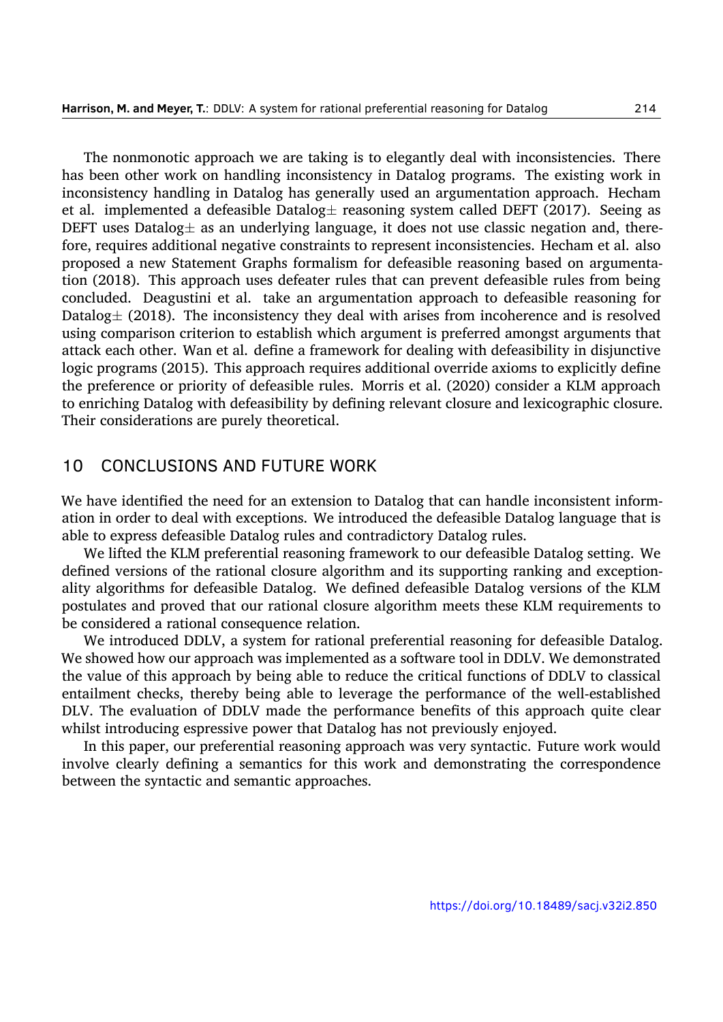The nonmonotic approach we are taking is to elegantly deal with inconsistencies. There has been other work on handling inconsistency in Datalog programs. The existing work in inconsistency handling in Datalog has generally used an argumentation approach. Hecham et al. implemented a defeasible Datalog*±* reasoning system called DEFT [\(2017\)](#page-32-13). Seeing as DEFT uses Datalog*±* as an underlying language, it does not use classic negation and, therefore, requires additional negative constraints to represent inconsistencies. Hecham et al. also proposed a new Statement Graphs formalism for defeasible reasoning based on argumentation([2018\)](#page-32-14). This approach uses defeater rules that can prevent defeasible rules from being concluded. Deagustini et al. take an argumentation approach to defeasible reasoning for Datalog<sup> $\pm$ </sup> ([2018\)](#page-31-12). The inconsistency they deal with arises from incoherence and is resolved using comparison criterion to establish which argument is preferred amongst arguments that attack each other. Wan et al. define a framework for dealing with defeasibility in disjunctive logic programs [\(2015](#page-33-4)). This approach requires additional override axioms to explicitly define the preference or priority of defeasible rules. Morris et al. [\(2020](#page-33-5)) consider a KLM approach to enriching Datalog with defeasibility by defining relevant closure and lexicographic closure. Their considerations are purely theoretical.

## 10 CONCLUSIONS AND FUTURE WORK

We have identified the need for an extension to Datalog that can handle inconsistent information in order to deal with exceptions. We introduced the defeasible Datalog language that is able to express defeasible Datalog rules and contradictory Datalog rules.

We lifted the KLM preferential reasoning framework to our defeasible Datalog setting. We defined versions of the rational closure algorithm and its supporting ranking and exceptionality algorithms for defeasible Datalog. We defined defeasible Datalog versions of the KLM postulates and proved that our rational closure algorithm meets these KLM requirements to be considered a rational consequence relation.

We introduced DDLV, a system for rational preferential reasoning for defeasible Datalog. We showed how our approach was implemented as a software tool in DDLV. We demonstrated the value of this approach by being able to reduce the critical functions of DDLV to classical entailment checks, thereby being able to leverage the performance of the well-established DLV. The evaluation of DDLV made the performance benefits of this approach quite clear whilst introducing espressive power that Datalog has not previously enjoyed.

In this paper, our preferential reasoning approach was very syntactic. Future work would involve clearly defining a semantics for this work and demonstrating the correspondence between the syntactic and semantic approaches.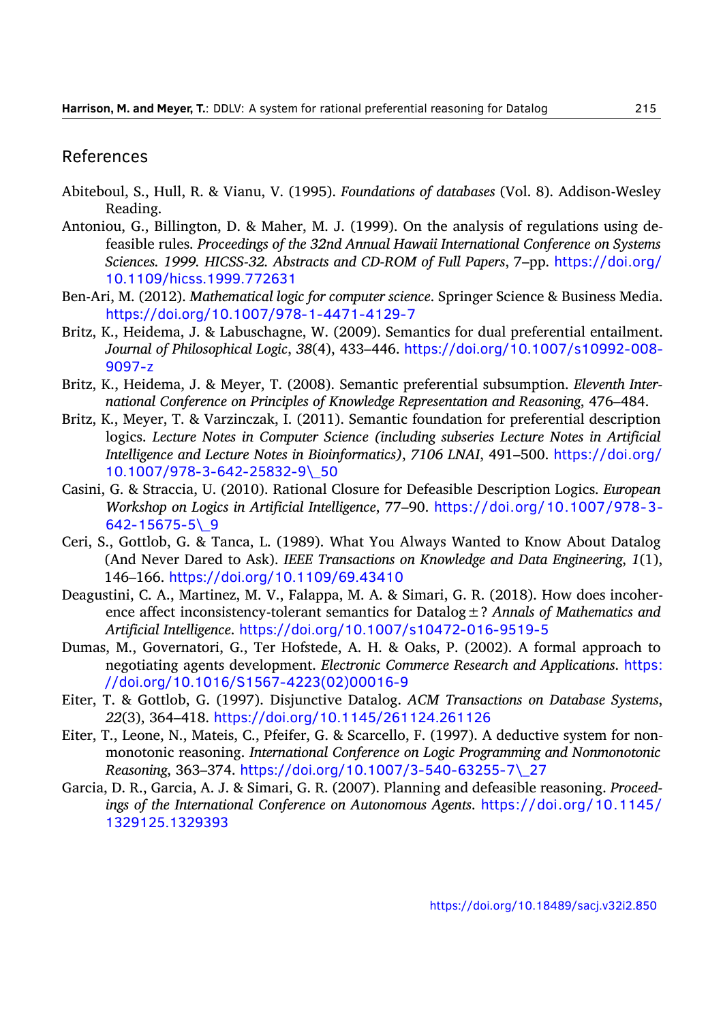## References

- <span id="page-31-0"></span>Abiteboul, S., Hull, R. & Vianu, V. (1995). *Foundations of databases* (Vol. 8). Addison-Wesley Reading.
- <span id="page-31-6"></span>Antoniou, G., Billington, D. & Maher, M. J. (1999). On the analysis of regulations using defeasible rules. *Proceedings of the 32nd Annual Hawaii International Conference on Systems Sciences. 1999. HICSS-32. Abstracts and CD-ROM of Full Papers*, 7–pp. [https://doi.org/](https://doi.org/10.1109/hicss.1999.772631) [10.1109/hicss.1999.772631](https://doi.org/10.1109/hicss.1999.772631)
- <span id="page-31-3"></span>Ben-Ari, M. (2012). *Mathematical logic for computer science*. Springer Science & Business Media. <https://doi.org/10.1007/978-1-4471-4129-7>
- <span id="page-31-8"></span>Britz, K., Heidema, J. & Labuschagne, W. (2009). Semantics for dual preferential entailment. *Journal of Philosophical Logic*, *38*(4), 433–446. [https://doi.org/10.1007/s10992-008-](https://doi.org/10.1007/s10992-008-9097-z) [9097-z](https://doi.org/10.1007/s10992-008-9097-z)
- <span id="page-31-9"></span>Britz, K., Heidema, J. & Meyer, T. (2008). Semantic preferential subsumption. *Eleventh International Conference on Principles of Knowledge Representation and Reasoning*, 476–484.
- <span id="page-31-10"></span>Britz, K., Meyer, T. & Varzinczak, I. (2011). Semantic foundation for preferential description logics. *Lecture Notes in Computer Science (including subseries Lecture Notes in Artificial Intelligence and Lecture Notes in Bioinformatics)*, *7106 LNAI*, 491–500. [https://doi.org/](https://doi.org/10.1007/978-3-642-25832-9\_50) [10.1007/978-3-642-25832-9\\\_50](https://doi.org/10.1007/978-3-642-25832-9\_50)
- <span id="page-31-7"></span>Casini, G. & Straccia, U. (2010). Rational Closure for Defeasible Description Logics. *European Workshop on Logics in Artificial Intelligence*, 77–90. [https://doi.org/10.1007/978-3-](https://doi.org/10.1007/978-3-642-15675-5\_9) [642-15675-5\\\_9](https://doi.org/10.1007/978-3-642-15675-5\_9)
- <span id="page-31-1"></span>Ceri, S., Gottlob, G. & Tanca, L. (1989). What You Always Wanted to Know About Datalog (And Never Dared to Ask). *IEEE Transactions on Knowledge and Data Engineering*, *1*(1), 146–166. <https://doi.org/10.1109/69.43410>
- <span id="page-31-12"></span>Deagustini, C. A., Martinez, M. V., Falappa, M. A. & Simari, G. R. (2018). How does incoherence affect inconsistency-tolerant semantics for Datalog±? *Annals of Mathematics and Artificial Intelligence*. <https://doi.org/10.1007/s10472-016-9519-5>
- <span id="page-31-5"></span>Dumas, M., Governatori, G., Ter Hofstede, A. H. & Oaks, P. (2002). A formal approach to negotiating agents development. *Electronic Commerce Research and Applications*. [https:](https://doi.org/10.1016/S1567-4223(02)00016-9) [//doi.org/10.1016/S1567-4223\(02\)00016-9](https://doi.org/10.1016/S1567-4223(02)00016-9)
- <span id="page-31-2"></span>Eiter, T. & Gottlob, G. (1997). Disjunctive Datalog. *ACM Transactions on Database Systems*, *22*(3), 364–418. <https://doi.org/10.1145/261124.261126>
- <span id="page-31-11"></span>Eiter, T., Leone, N., Mateis, C., Pfeifer, G. & Scarcello, F. (1997). A deductive system for nonmonotonic reasoning. *International Conference on Logic Programming and Nonmonotonic Reasoning*, 363–374. [https://doi.org/10.1007/3-540-63255-7\\\_27](https://doi.org/10.1007/3-540-63255-7\_27)
- <span id="page-31-4"></span>Garcia, D. R., Garcia, A. J. & Simari, G. R. (2007). Planning and defeasible reasoning. *Proceedings of the International Conference on Autonomous Agents*. [https://doi.org/10.1145/](https://doi.org/10.1145/1329125.1329393) [1329125.1329393](https://doi.org/10.1145/1329125.1329393)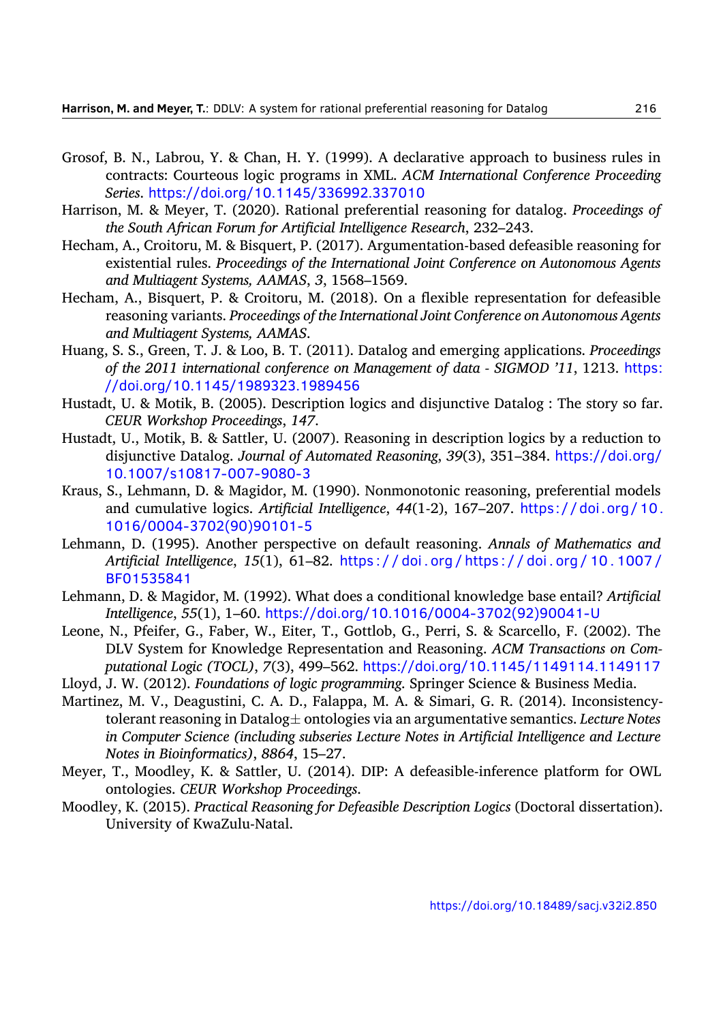- <span id="page-32-4"></span>Grosof, B. N., Labrou, Y. & Chan, H. Y. (1999). A declarative approach to business rules in contracts: Courteous logic programs in XML. *ACM International Conference Proceeding Series*. <https://doi.org/10.1145/336992.337010>
- <span id="page-32-8"></span>Harrison, M. & Meyer, T. (2020). Rational preferential reasoning for datalog. *Proceedings of the South African Forum for Artificial Intelligence Research*, 232–243.
- <span id="page-32-13"></span>Hecham, A., Croitoru, M. & Bisquert, P. (2017). Argumentation-based defeasible reasoning for existential rules. *Proceedings of the International Joint Conference on Autonomous Agents and Multiagent Systems, AAMAS*, *3*, 1568–1569.
- <span id="page-32-14"></span>Hecham, A., Bisquert, P. & Croitoru, M. (2018). On a flexible representation for defeasible reasoning variants. *Proceedings of the International Joint Conference on Autonomous Agents and Multiagent Systems, AAMAS*.
- <span id="page-32-1"></span>Huang, S. S., Green, T. J. & Loo, B. T. (2011). Datalog and emerging applications. *Proceedings of the 2011 international conference on Management of data - SIGMOD '11*, 1213. [https:](https://doi.org/10.1145/1989323.1989456) [//doi.org/10.1145/1989323.1989456](https://doi.org/10.1145/1989323.1989456)
- <span id="page-32-11"></span>Hustadt, U. & Motik, B. (2005). Description logics and disjunctive Datalog : The story so far. *CEUR Workshop Proceedings*, *147*.
- <span id="page-32-12"></span>Hustadt, U., Motik, B. & Sattler, U. (2007). Reasoning in description logics by a reduction to disjunctive Datalog. *Journal of Automated Reasoning*, *39*(3), 351–384. [https://doi.org/](https://doi.org/10.1007/s10817-007-9080-3) [10.1007/s10817-007-9080-3](https://doi.org/10.1007/s10817-007-9080-3)
- <span id="page-32-5"></span>Kraus, S., Lehmann, D. & Magidor, M. (1990). Nonmonotonic reasoning, preferential models and cumulative logics. *Artificial Intelligence*, *44*(1-2), 167–207. [https://doi.org/10.](https://doi.org/10.1016/0004-3702(90)90101-5) [1016/0004-3702\(90\)90101-5](https://doi.org/10.1016/0004-3702(90)90101-5)
- <span id="page-32-9"></span>Lehmann, D. (1995). Another perspective on default reasoning. *Annals of Mathematics and Artificial Intelligence*, *15*(1), 61–82. [https : / / doi . org / https : / / doi . org / 10 . 1007 /](https://doi.org/https://doi.org/10.1007/BF01535841) [BF01535841](https://doi.org/https://doi.org/10.1007/BF01535841)
- <span id="page-32-6"></span>Lehmann, D. & Magidor, M. (1992). What does a conditional knowledge base entail? *Artificial Intelligence*, *55*(1), 1–60. [https://doi.org/10.1016/0004-3702\(92\)90041-U](https://doi.org/10.1016/0004-3702(92)90041-U)
- <span id="page-32-2"></span>Leone, N., Pfeifer, G., Faber, W., Eiter, T., Gottlob, G., Perri, S. & Scarcello, F. (2002). The DLV System for Knowledge Representation and Reasoning. *ACM Transactions on Computational Logic (TOCL)*, *7*(3), 499–562. <https://doi.org/10.1145/1149114.1149117>
- <span id="page-32-0"></span>Lloyd, J. W. (2012). *Foundations of logic programming*. Springer Science & Business Media.
- <span id="page-32-3"></span>Martinez, M. V., Deagustini, C. A. D., Falappa, M. A. & Simari, G. R. (2014). Inconsistencytolerant reasoning in Datalog*±* ontologies via an argumentative semantics. *Lecture Notes in Computer Science (including subseries Lecture Notes in Artificial Intelligence and Lecture Notes in Bioinformatics)*, *8864*, 15–27.
- <span id="page-32-10"></span>Meyer, T., Moodley, K. & Sattler, U. (2014). DIP: A defeasible-inference platform for OWL ontologies. *CEUR Workshop Proceedings*.
- <span id="page-32-7"></span>Moodley, K. (2015). *Practical Reasoning for Defeasible Description Logics* (Doctoral dissertation). University of KwaZulu-Natal.